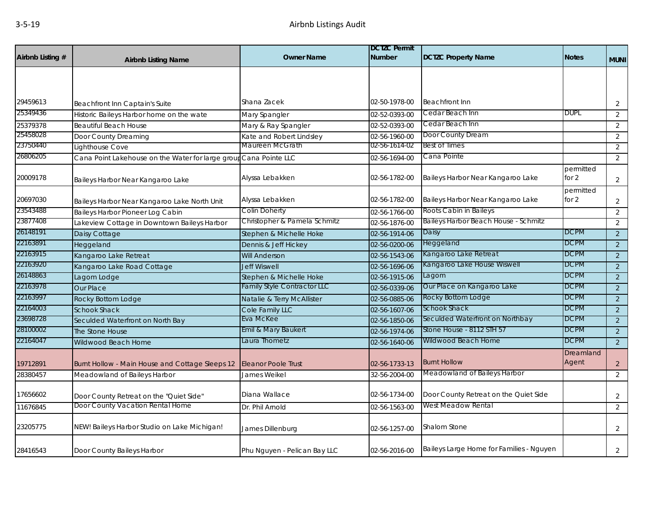| Airbnb Listing # | <b>Airbnb Listing Name</b>                                        | <b>Owner Name</b>            | <b>DCTZC Permit</b><br><b>Number</b> | <b>DCTZC Property Name</b>               | <b>Notes</b>         | <b>MUNI</b>    |
|------------------|-------------------------------------------------------------------|------------------------------|--------------------------------------|------------------------------------------|----------------------|----------------|
|                  |                                                                   |                              |                                      |                                          |                      |                |
|                  |                                                                   |                              |                                      |                                          |                      |                |
| 29459613         | Beachfront Inn Captain's Suite                                    | Shana Zacek                  | 02-50-1978-00                        | <b>Beachfront Inn</b>                    |                      | $\overline{2}$ |
| 25349436         | Historic Baileys Harbor home on the wate                          | Mary Spangler                | 02-52-0393-00                        | Cedar Beach Inn                          | <b>DUPL</b>          | $\overline{2}$ |
| 25379378         | <b>Beautiful Beach House</b>                                      | Mary & Ray Spangler          | 02-52-0393-00                        | Cedar Beach Inn                          |                      | 2              |
| 25458028         | Door County Dreaming                                              | Kate and Robert Lindsley     | 02-56-1960-00                        | Door County Dream                        |                      | 2              |
| 23750440         | Lighthouse Cove                                                   | Maureen McGrath              | 02-56-1614-02                        | <b>Best of Times</b>                     |                      | 2              |
| 26806205         | Cana Point Lakehouse on the Water for large group Cana Pointe LLC |                              | 02-56-1694-00                        | Cana Pointe                              |                      | 2              |
| 20009178         | Baileys Harbor Near Kangaroo Lake                                 | Alyssa Lebakken              | 02-56-1782-00                        | Baileys Harbor Near Kangaroo Lake        | permitted<br>for $2$ | $\overline{2}$ |
| 20697030         | Baileys Harbor Near Kangaroo Lake North Unit                      | Alyssa Lebakken              | 02-56-1782-00                        | Baileys Harbor Near Kangaroo Lake        | permitted<br>for $2$ | $\overline{2}$ |
| 23543488         | <b>Baileys Harbor Pioneer Log Cabin</b>                           | Colin Doherty                | 02-56-1766-00                        | Roots Cabin in Baileys                   |                      | 2              |
| 23877408         | Lakeview Cottage in Downtown Baileys Harbor                       | Christopher & Pamela Schmitz | 02-56-1876-00                        | Baileys Harbor Beach House - Schmitz     |                      | 2              |
| 26148191         | Daisy Cottage                                                     | Stephen & Michelle Hoke      | 02-56-1914-06                        | Daisy                                    | DCPM                 | 2              |
| 22163891         | Heggeland                                                         | Dennis & Jeff Hickey         | 02-56-0200-06                        | Heggeland                                | <b>DCPM</b>          | 2              |
| 22163915         | Kangaroo Lake Retreat                                             | <b>Will Anderson</b>         | 02-56-1543-06                        | Kangaroo Lake Retreat                    | <b>DCPM</b>          | $\overline{2}$ |
| 22163920         | Kangaroo Lake Road Cottage                                        | <b>Jeff Wiswell</b>          | 02-56-1696-06                        | Kangaroo Lake House Wiswell              | <b>DCPM</b>          | $\overline{2}$ |
| 26148863         | Lagom Lodge                                                       | Stephen & Michelle Hoke      | 02-56-1915-06                        | Lagom                                    | <b>DCPM</b>          | 2              |
| 22163978         | Our Place                                                         | Family Style Contractor LLC  | 02-56-0339-06                        | Our Place on Kangaroo Lake               | <b>DCPM</b>          | 2              |
| 22163997         | Rocky Bottom Lodge                                                | Natalie & Terry McAllister   | 02-56-0885-06                        | Rocky Bottom Lodge                       | <b>DCPM</b>          | 2              |
| 22164003         | <b>Schook Shack</b>                                               | Cole Family LLC              | 02-56-1607-06                        | Schook Shack                             | <b>DCPM</b>          | 2              |
| 23698728         | Seculded Waterfront on North Bay                                  | Eva McKee                    | 02-56-1850-06                        | Seculded Waterfront on Northbay          | <b>DCPM</b>          | 2              |
| 28100002         | The Stone House                                                   | Emil & Mary Baukert          | 02-56-1974-06                        | Stone House - 8112 STH 57                | <b>DCPM</b>          | 2              |
| 22164047         | Wildwood Beach Home                                               | aura Thometz                 | 02-56-1640-06                        | Wildwood Beach Home                      | <b>DCPM</b>          | 2              |
| 19712891         | Burnt Hollow - Main House and Cottage Sleeps 12                   | <b>Eleanor Poole Trust</b>   | 02-56-1733-13                        | <b>Burnt Hollow</b>                      | Dreamland<br>Agent   | $\overline{2}$ |
| 28380457         | Meadowland of Baileys Harbor                                      | James Weikel                 | 32-56-2004-00                        | Meadowland of Baileys Harbor             |                      | 2              |
| 17656602         | Door County Retreat on the "Quiet Side"                           | Diana Wallace                | 02-56-1734-00                        | Door County Retreat on the Quiet Side    |                      | $\overline{2}$ |
| 11676845         | Door County Vacation Rental Home                                  | Dr. Phil Arnold              | 02-56-1563-00                        | West Meadow Rental                       |                      | 2              |
| 23205775         | NEW! Baileys Harbor Studio on Lake Michigan!                      | James Dillenburg             | 02-56-1257-00                        | Shalom Stone                             |                      | $\overline{2}$ |
| 28416543         | Door County Baileys Harbor                                        | Phu Nguyen - Pelican Bay LLC | 02-56-2016-00                        | Baileys Large Home for Families - Nguyen |                      | 2              |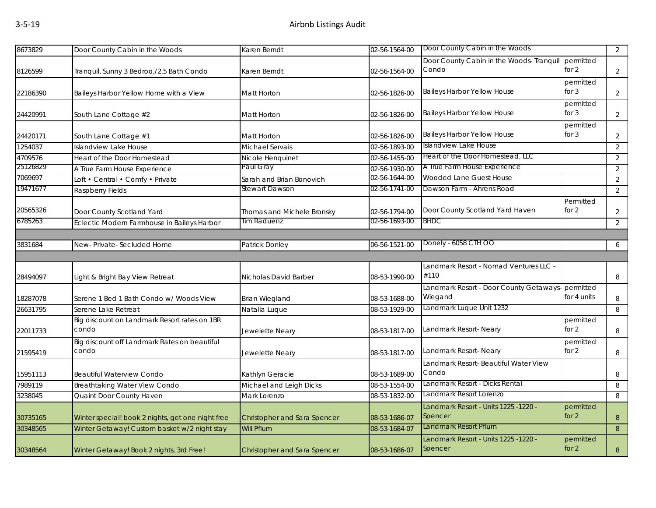| 8673829  | Door County Cabin in the Woods                        | Karen Berndt                 | 02-56-1564-00 | Door County Cabin in the Woods                              |                      | 2              |
|----------|-------------------------------------------------------|------------------------------|---------------|-------------------------------------------------------------|----------------------|----------------|
| 8126599  | Tranquil, Sunny 3 Bedroo,/2.5 Bath Condo              | Karen Berndt                 | 02-56-1564-00 | Door County Cabin in the Woods- Tranquil permitted<br>Condo | for $2$              | $\overline{2}$ |
| 22186390 | Baileys Harbor Yellow Home with a View                | Matt Horton                  | 02-56-1826-00 | <b>Baileys Harbor Yellow House</b>                          | permitted<br>for $3$ | $\overline{2}$ |
| 24420991 | South Lane Cottage #2                                 | Matt Horton                  | 02-56-1826-00 | <b>Baileys Harbor Yellow House</b>                          | permitted<br>for $3$ | $\overline{2}$ |
| 24420171 | South Lane Cottage #1                                 | Matt Horton                  | 02-56-1826-00 | <b>Baileys Harbor Yellow House</b>                          | permitted<br>for $3$ | $\overline{2}$ |
| 1254037  | Islandview Lake House                                 | Michael Servais              | 02-56-1893-00 | Islandview Lake House                                       |                      | $\overline{2}$ |
| 4709576  | Heart of the Door Homestead                           | Nicole Henquinet             | 02-56-1455-00 | Heart of the Door Homestead, LLC                            |                      | 2              |
| 25126829 | A True Farm House Experience                          | Paul Gray                    | 02-56-1930-00 | A True Farm House Experience                                |                      | $\overline{2}$ |
| 7069697  | Loft • Central • Comfy • Private                      | Sarah and Brian Bonovich     | 02-56-1644-00 | Wooded Lane Guest House                                     |                      | 2              |
| 19471677 | Raspberry Fields                                      | Stewart Dawson               | 02-56-1741-00 | Dawson Farm - Ahrens Road                                   |                      | $\overline{2}$ |
| 20565326 | Door County Scotland Yard                             | Thomas and Michele Bronsky   | 02-56-1794-00 | Door County Scotland Yard Haven                             | Permitted<br>for 2   | $\overline{2}$ |
| 6785263  | Eclectic Modern Farmhouse in Baileys Harbor           | Tim Raduenz                  | 02-56-1693-00 | <b>BHDC</b>                                                 |                      | $\overline{2}$ |
|          |                                                       |                              |               |                                                             |                      |                |
| 3831684  | New-Private-Secluded Home                             | Patrick Donley               | 06-56-1521-00 | Donely - 6058 CTH OO                                        |                      | 6              |
|          |                                                       |                              |               |                                                             |                      |                |
|          |                                                       |                              |               | Landmark Resort - Nomad Ventures LLC -                      |                      |                |
| 28494097 | Light & Bright Bay View Retreat                       | Nicholas David Barber        | 08-53-1990-00 | #110                                                        |                      | 8              |
| 18287078 | Serene 1 Bed 1 Bath Condo w/ Woods View               | <b>Brian Wiegland</b>        | 08-53-1688-00 | Landmark Resort - Door County Getaways-permitted<br>Wiegand | for 4 units          | 8              |
| 26631795 | Serene Lake Retreat                                   | Natalia Luque                | 08-53-1929-00 | Landmark Luque Unit 1232                                    |                      | 8              |
| 22011733 | Big discount on Landmark Resort rates on 1BR<br>condo | Jewelette Neary              | 08-53-1817-00 | Landmark Resort- Neary                                      | permitted<br>for 2   | 8              |
| 21595419 | Big discount off Landmark Rates on beautiful<br>condo | Jewelette Neary              | 08-53-1817-00 | Landmark Resort- Neary                                      | permitted<br>for 2   | 8              |
| 15951113 | <b>Beautiful Waterview Condo</b>                      | Kathlyn Geracie              | 08-53-1689-00 | Landmark Resort- Beautiful Water View<br>Condo              |                      | 8              |
| 7989119  | Breathtaking Water View Condo                         | Michael and Leigh Dicks      | 08-53-1554-00 | Landmark Resort - Dicks Rental                              |                      | 8              |
| 3238045  | Quaint Door County Haven                              | Mark Lorenzo                 | 08-53-1832-00 | Landmark Resort Lorenzo                                     |                      | 8              |
| 30735165 | Winter special! book 2 nights, get one night free     | Christopher and Sara Spencer | 08-53-1686-07 | Landmark Resort - Units 1225 -1220 -<br>Spencer             | permitted<br>for $2$ | 8              |
| 30348565 | Winter Getaway! Custom basket w/2 night stay          | Will Pflum                   | 08-53-1684-07 | Landmark Resort Pflum                                       |                      | 8              |
| 30348564 | Winter Getaway! Book 2 nights, 3rd Free!              | Christopher and Sara Spencer | 08-53-1686-07 | Landmark Resort - Units 1225 -1220 -<br>Spencer             | permitted<br>for $2$ | $8\,$          |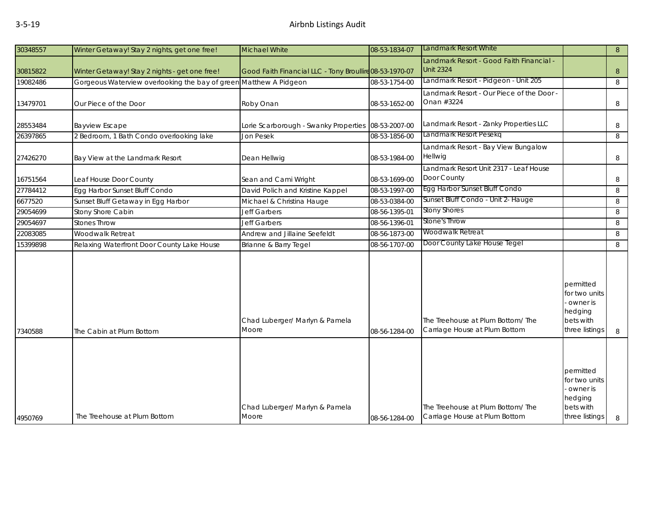| 30348557 | Winter Getaway! Stay 2 nights, get one free!    | <b>Michael White</b>                                    | 08-53-1834-07 | Landmark Resort White                                              |                                                                                    | 8 |
|----------|-------------------------------------------------|---------------------------------------------------------|---------------|--------------------------------------------------------------------|------------------------------------------------------------------------------------|---|
| 30815822 | Winter Getaway! Stay 2 nights - get one free!   | Good Faith Financial LLC - Tony Broullire 08-53-1970-07 |               | Landmark Resort - Good Faith Financial -<br><b>Unit 2324</b>       |                                                                                    | 8 |
| 19082486 | Gorgeous Waterview overlooking the bay of greer | Matthew A Pidgeon                                       | 08-53-1754-00 | Landmark Resort - Pidgeon - Unit 205                               |                                                                                    | 8 |
| 13479701 | Our Piece of the Door                           | Roby Onan                                               | 08-53-1652-00 | Landmark Resort - Our Piece of the Door -<br>Onan #3224            |                                                                                    | 8 |
| 28553484 | <b>Bayview Escape</b>                           | Lorie Scarborough - Swanky Properties 08-53-2007-00     |               | Landmark Resort - Zanky Properties LLC                             |                                                                                    | 8 |
| 26397865 | 2 Bedroom, 1 Bath Condo overlooking lake        | Jon Pesek                                               | 08-53-1856-00 | Landmark Resort Pesekq                                             |                                                                                    | 8 |
| 27426270 | Bay View at the Landmark Resort                 | Dean Hellwig                                            | 08-53-1984-00 | Landmark Resort - Bay View Bungalow<br>Hellwig                     |                                                                                    | 8 |
| 16751564 | Leaf House Door County                          | Sean and Cami Wright                                    | 08-53-1699-00 | Landmark Resort Unit 2317 - Leaf House<br>Door County              |                                                                                    | 8 |
| 27784412 | Egg Harbor Sunset Bluff Condo                   | David Polich and Kristine Kappel                        | 08-53-1997-00 | Egg Harbor Sunset Bluff Condo                                      |                                                                                    | 8 |
| 6677520  | Sunset Bluff Getaway in Egg Harbor              | Michael & Christina Hauge                               | 08-53-0384-00 | Sunset Bluff Condo - Unit 2- Hauge                                 |                                                                                    | 8 |
| 29054699 | Stony Shore Cabin                               | <b>Jeff Garbers</b>                                     | 08-56-1395-01 | <b>Stony Shores</b>                                                |                                                                                    | 8 |
| 29054697 | <b>Stones Throw</b>                             | <b>Jeff Garbers</b>                                     | 08-56-1396-01 | Stone's Throw                                                      |                                                                                    | 8 |
| 22083085 | Woodwalk Retreat                                | Andrew and Jillaine Seefeldt                            | 08-56-1873-00 | <b>Woodwalk Retreat</b>                                            |                                                                                    | 8 |
| 15399898 | Relaxing Waterfront Door County Lake House      | Brianne & Barry Tegel                                   | 08-56-1707-00 | Door County Lake House Tegel                                       |                                                                                    | 8 |
| 7340588  | The Cabin at Plum Bottom                        | Chad Luberger/ Marlyn & Pamela<br>Moore                 | 08-56-1284-00 | The Treehouse at Plum Bottom/ The<br>Carriage House at Plum Bottom | permitted<br>for two units<br>- owner is<br>hedging<br>bets with<br>three listings | 8 |
| 4950769  | The Treehouse at Plum Bottom                    | Chad Luberger/ Marlyn & Pamela<br>Moore                 | 08-56-1284-00 | The Treehouse at Plum Bottom/ The<br>Carriage House at Plum Bottom | permitted<br>for two units<br>owner is<br>hedging<br>bets with<br>three listings   | 8 |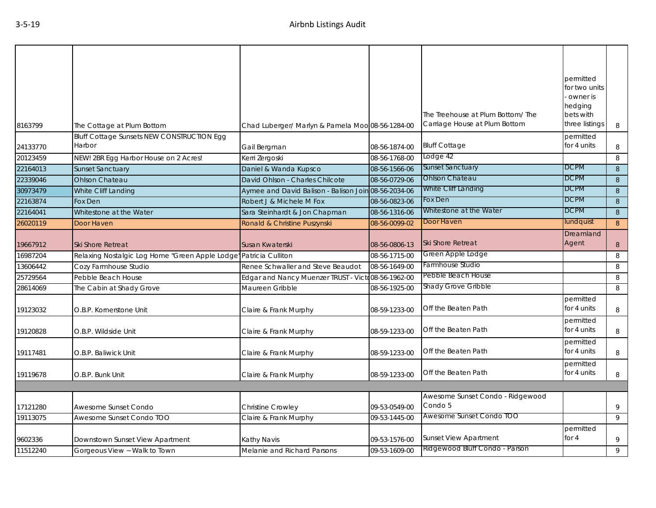| 8163799  | The Cottage at Plum Bottom                           | Chad Luberger/ Marlyn & Pamela Moo 08-56-1284-00     |               | The Treehouse at Plum Bottom/The<br>Carriage House at Plum Bottom | permitted<br>for two units<br>owner is<br>hedging<br>bets with<br>three listings | 8                |
|----------|------------------------------------------------------|------------------------------------------------------|---------------|-------------------------------------------------------------------|----------------------------------------------------------------------------------|------------------|
| 24133770 | Bluff Cottage Sunsets NEW CONSTRUCTION Egg<br>Harbor | Gail Bergman                                         | 08-56-1874-00 | <b>Bluff Cottage</b>                                              | permitted<br>for 4 units                                                         | 8                |
| 20123459 | NEW! 2BR Egg Harbor House on 2 Acres!                | Kerri Zergoski                                       | 08-56-1768-00 | Lodge 42                                                          |                                                                                  | 8                |
| 22164013 | <b>Sunset Sanctuary</b>                              | Daniel & Wanda Kupsco                                | 08-56-1566-06 | <b>Sunset Sanctuary</b>                                           | <b>DCPM</b>                                                                      | 8                |
| 22339046 | <b>Ohlson Chateau</b>                                | David Ohlson - Charles Chilcote                      | 08-56-0729-06 | <b>Ohlson Chateau</b>                                             | <b>DCPM</b>                                                                      | 8                |
| 30973479 | White Cliff Landing                                  | Aymee and David Balison - Balison Join 08-56-2034-06 |               | White Cliff Landing                                               | <b>DCPM</b>                                                                      | 8                |
| 22163874 | Fox Den                                              | Robert J & Michele M Fox                             | 08-56-0823-06 | Fox Den                                                           | <b>DCPM</b>                                                                      | 8                |
| 22164041 | Whitestone at the Water                              | Sara Steinhardt & Jon Chapman                        | 08-56-1316-06 | Whitestone at the Water                                           | <b>DCPM</b>                                                                      | $\,8\,$          |
| 26020119 | Door Haven                                           | Ronald & Christine Puszynski                         | 08-56-0099-02 | Door Haven                                                        | lundquist                                                                        | 8                |
| 19667912 | <b>Ski Shore Retreat</b>                             | Susan Kwaterski                                      | 08-56-0806-13 | Ski Shore Retreat                                                 | Dreamland<br>Agent                                                               | $\boldsymbol{8}$ |
| 16987204 | Relaxing Nostalgic Log Home "Green Apple Lodge"      | Patricia Culliton                                    | 08-56-1715-00 | Green Apple Lodge                                                 |                                                                                  | 8                |
| 13606442 | Cozy Farmhouse Studio                                | Renee Schwaller and Steve Beaudot                    | 08-56-1649-00 | Farmhouse Studio                                                  |                                                                                  | 8                |
| 25729564 | Pebble Beach House                                   | Edgar and Nancy Muenzer TRUST - Victo08-56-1962-00   |               | Pebble Beach House                                                |                                                                                  | 8                |
| 28614069 | The Cabin at Shady Grove                             | Maureen Gribble                                      | 08-56-1925-00 | Shady Grove Gribble                                               |                                                                                  | 8                |
| 19123032 | O.B.P. Kornerstone Unit                              | Claire & Frank Murphy                                | 08-59-1233-00 | Off the Beaten Path                                               | permitted<br>for 4 units                                                         | 8                |
| 19120828 | O.B.P. Wildside Unit                                 | Claire & Frank Murphy                                | 08-59-1233-00 | Off the Beaten Path                                               | permitted<br>for 4 units                                                         | 8                |
| 19117481 | O.B.P. Baliwick Unit                                 | Claire & Frank Murphy                                | 08-59-1233-00 | Off the Beaten Path                                               | permitted<br>for 4 units                                                         | 8                |
| 19119678 | O.B.P. Bunk Unit                                     | Claire & Frank Murphy                                | 08-59-1233-00 | Off the Beaten Path                                               | permitted<br>for 4 units                                                         | 8                |
|          |                                                      |                                                      |               |                                                                   |                                                                                  |                  |
| 17121280 | Awesome Sunset Condo                                 | Christine Crowley                                    | 09-53-0549-00 | Awesome Sunset Condo - Ridgewood<br>Condo 5                       |                                                                                  | 9                |
| 19113075 | Awesome Sunset Condo TOO                             | Claire & Frank Murphy                                | 09-53-1445-00 | Awesome Sunset Condo TOO                                          |                                                                                  | 9                |
| 9602336  | Downstown Sunset View Apartment                      | Kathy Navis                                          | 09-53-1576-00 | <b>Sunset View Apartment</b>                                      | permitted<br>for $4$                                                             | 9                |
| 11512240 | Gorgeous View ~ Walk to Town                         | Melanie and Richard Parsons                          | 09-53-1609-00 | Ridgewood Bluff Condo - Parson                                    |                                                                                  | 9                |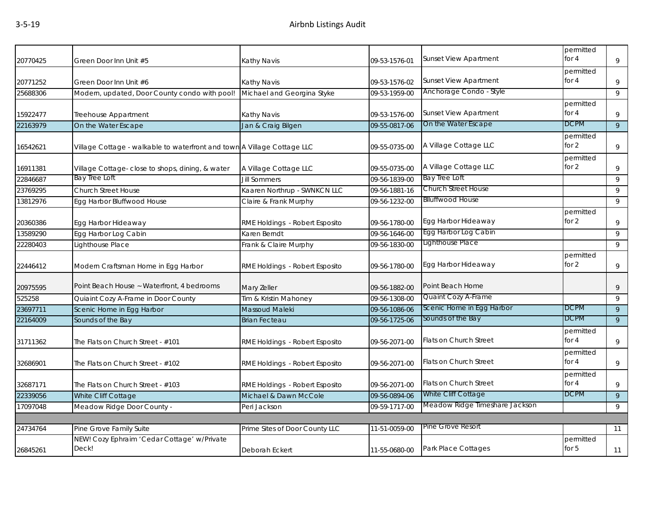| 20770425 | Green Door Inn Unit #5                                                  | Kathy Navis                    | 09-53-1576-01 | <b>Sunset View Apartment</b>   | permitted<br>for $4$ | 9              |
|----------|-------------------------------------------------------------------------|--------------------------------|---------------|--------------------------------|----------------------|----------------|
|          |                                                                         |                                |               |                                | permitted            |                |
| 20771252 | Green Door Inn Unit #6                                                  | Kathy Navis                    | 09-53-1576-02 | <b>Sunset View Apartment</b>   | for $4$              | 9              |
| 25688306 | Modern, updated, Door County condo with pool!                           | Michael and Georgina Styke     | 09-53-1959-00 | Anchorage Condo - Style        |                      | 9              |
|          |                                                                         |                                |               |                                | permitted            |                |
| 15922477 | Treehouse Appartment                                                    | Kathy Navis                    | 09-53-1576-00 | <b>Sunset View Apartment</b>   | for $4$              | 9              |
| 22163979 | On the Water Escape                                                     | Jan & Craig Bilgen             | 09-55-0817-06 | On the Water Escape            | <b>DCPM</b>          | $\overline{9}$ |
| 16542621 | Village Cottage - walkable to waterfront and town A Village Cottage LLC |                                | 09-55-0735-00 | A Village Cottage LLC          | permitted<br>for $2$ | 9              |
|          |                                                                         |                                |               |                                | permitted            |                |
| 16911381 | Village Cottage-close to shops, dining, & water                         | A Village Cottage LLC          | 09-55-0735-00 | A Village Cottage LLC          | for 2                | 9              |
| 22846687 | Bay Tree Loft                                                           | <b>Jill Sommers</b>            | 09-56-1839-00 | Bay Tree Loft                  |                      | 9              |
| 23769295 | <b>Church Street House</b>                                              | Kaaren Northrup - SWNKCN LLC   | 09-56-1881-16 | Church Street House            |                      | 9              |
| 13812976 | Egg Harbor Bluffwood House                                              | Claire & Frank Murphy          | 09-56-1232-00 | <b>Blluffwood House</b>        |                      | 9              |
|          |                                                                         |                                |               |                                | permitted            |                |
| 20360386 | Egg Harbor Hideaway                                                     | RME Holdings - Robert Esposito | 09-56-1780-00 | Egg Harbor Hideaway            | for 2                | 9              |
| 13589290 | Egg Harbor Log Cabin                                                    | Karen Berndt                   | 09-56-1646-00 | Egg Harbor Log Cabin           |                      | 9              |
| 22280403 | Lighthouse Place                                                        | Frank & Claire Murphy          | 09-56-1830-00 | Lighthouse Place               |                      | 9              |
| 22446412 | Modern Craftsman Home in Egg Harbor                                     | RME Holdings - Robert Esposito | 09-56-1780-00 | Egg Harbor Hideaway            | permitted<br>for $2$ | 9              |
| 20975595 | Point Beach House ~ Waterfront, 4 bedrooms                              | Mary Zeller                    | 09-56-1882-00 | Point Beach Home               |                      | 9              |
| 525258   | Quiaint Cozy A-Frame in Door County                                     | Tim & Kristin Mahoney          | 09-56-1308-00 | Quaint Cozy A-Frame            |                      | 9              |
| 23697711 | Scenic Home in Egg Harbor                                               | Massoud Maleki                 | 09-56-1086-06 | Scenic Home in Egg Harbor      | <b>DCPM</b>          | 9              |
| 22164009 | Sounds of the Bay                                                       | <b>Brian Fecteau</b>           | 09-56-1725-06 | Sounds of the Bay              | <b>DCPM</b>          | 9              |
| 31711362 | The Flats on Church Street - #101                                       | RME Holdings - Robert Esposito | 09-56-2071-00 | Flats on Church Street         | permitted<br>for $4$ | $\,9$          |
| 32686901 | The Flats on Church Street - #102                                       | RME Holdings - Robert Esposito | 09-56-2071-00 | <b>Flats on Church Street</b>  | permitted<br>for $4$ | 9              |
| 32687171 | The Flats on Church Street - #103                                       | RME Holdings - Robert Esposito | 09-56-2071-00 | <b>Flats on Church Street</b>  | permitted<br>for 4   | 9              |
| 22339056 | White Cliff Cottage                                                     | Michael & Dawn McCole          | 09-56-0894-06 | White Cliff Cottage            | <b>DCPM</b>          | 9              |
| 17097048 | Meadow Ridge Door County -                                              | Peri Jackson                   | 09-59-1717-00 | Meadow Ridge Timeshare Jackson |                      | 9              |
|          |                                                                         |                                |               |                                |                      |                |
| 24734764 | Pine Grove Family Suite                                                 | Prime Sites of Door County LLC | 11-51-0059-00 | Pine Grove Resort              |                      | 11             |
| 26845261 | NEW! Cozy Ephraim 'Cedar Cottage' w/Private<br>Deck!                    | Deborah Eckert                 | 11-55-0680-00 | Park Place Cottages            | permitted<br>for 5   | 11             |
|          |                                                                         |                                |               |                                |                      |                |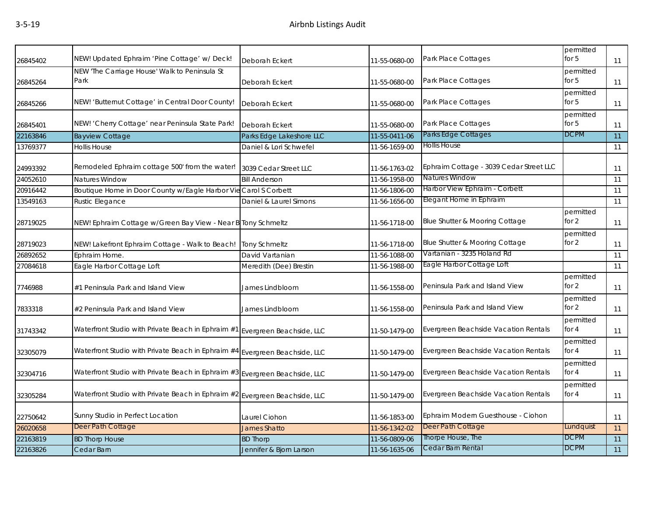| 26845402 | NEW! Updated Ephraim 'Pine Cottage' w/ Deck!                                | Deborah Eckert           | 11-55-0680-00 | Park Place Cottages                                       | permitted<br>for $5$ | 11              |
|----------|-----------------------------------------------------------------------------|--------------------------|---------------|-----------------------------------------------------------|----------------------|-----------------|
| 26845264 | NEW 'The Carriage House' Walk to Peninsula St<br>Park                       | Deborah Eckert           | 11-55-0680-00 | Park Place Cottages                                       | permitted<br>for $5$ | 11              |
| 26845266 | NEW! 'Butternut Cottage' in Central Door County!                            | Deborah Eckert           | 11-55-0680-00 | Park Place Cottages                                       | permitted<br>for $5$ | 11              |
| 26845401 | NEW! 'Cherry Cottage' near Peninsula State Park!                            | Deborah Eckert           | 11-55-0680-00 | Park Place Cottages                                       | permitted<br>for 5   | 11              |
| 22163846 | <b>Bayview Cottage</b>                                                      | Parks Edge Lakeshore LLC | 11-55-0411-06 | Parks Edge Cottages                                       | <b>DCPM</b>          | 11              |
| 13769377 | <b>Hollis House</b>                                                         | Daniel & Lori Schwefel   | 11-56-1659-00 | Hollis House                                              |                      | 11              |
| 24993392 | Remodeled Ephraim cottage 500' from the water!                              | 3039 Cedar Street LLC    | 11-56-1763-02 | Ephraim Cottage - 3039 Cedar Street LLC<br>Natures Window |                      | 11              |
| 24052610 | Natures Window                                                              | <b>Bill Anderson</b>     | 11-56-1958-00 |                                                           |                      | $\overline{11}$ |
| 20916442 | Boutique Home in Door County w/Eagle Harbor Vie Carol S Corbett             |                          | 11-56-1806-00 | Harbor View Ephraim - Corbett                             |                      | 11              |
| 13549163 | Rustic Elegance                                                             | Daniel & Laurel Simons   | 11-56-1656-00 | Elegant Home in Ephraim                                   |                      | 11              |
| 28719025 | NEW! Ephraim Cottage w/Green Bay View - Near B Tony Schmeltz                |                          | 11-56-1718-00 | Blue Shutter & Mooring Cottage                            | permitted<br>for $2$ | 11              |
| 28719023 | NEW! Lakefront Ephraim Cottage - Walk to Beach!                             | <b>Tony Schmeltz</b>     | 11-56-1718-00 | Blue Shutter & Mooring Cottage                            | permitted<br>for $2$ | 11              |
| 26892652 | Ephraim Home.                                                               | David Vartanian          | 11-56-1088-00 | Vartanian - 3235 Holand Rd                                |                      | 11              |
| 27084618 | Eagle Harbor Cottage Loft                                                   | Meredith (Dee) Brestin   | 11-56-1988-00 | Eagle Harbor Cottage Loft                                 |                      | 11              |
| 7746988  | #1 Peninsula Park and Island View                                           | James Lindbloom          | 11-56-1558-00 | Peninsula Park and Island View                            | permitted<br>for $2$ | 11              |
| 7833318  | #2 Peninsula Park and Island View                                           | James Lindbloom          | 11-56-1558-00 | Peninsula Park and Island View                            | permitted<br>for $2$ | 11              |
| 31743342 | Waterfront Studio with Private Beach in Ephraim #1                          | Evergreen Beachside, LLC | 11-50-1479-00 | Evergreen Beachside Vacation Rentals                      | permitted<br>for $4$ | 11              |
| 32305079 | Waterfront Studio with Private Beach in Ephraim #4 Evergreen Beachside, LLC |                          | 11-50-1479-00 | Evergreen Beachside Vacation Rentals                      | permitted<br>for $4$ | 11              |
| 32304716 | Waterfront Studio with Private Beach in Ephraim #3 Evergreen Beachside, LLC |                          | 11-50-1479-00 | Evergreen Beachside Vacation Rentals                      | permitted<br>for $4$ | 11              |
| 32305284 | Waterfront Studio with Private Beach in Ephraim #2 Evergreen Beachside, LLC |                          | 11-50-1479-00 | Evergreen Beachside Vacation Rentals                      | permitted<br>for $4$ | 11              |
| 22750642 | Sunny Studio in Perfect Location                                            | Laurel Ciohon            | 11-56-1853-00 | Ephraim Modern Guesthouse - Ciohon                        |                      | 11              |
| 26020658 | Deer Path Cottage                                                           | <b>James Shatto</b>      | 11-56-1342-02 | Deer Path Cottage                                         | Lundquist            | 11              |
|          |                                                                             |                          |               |                                                           |                      |                 |
| 22163819 | <b>BD Thorp House</b>                                                       | <b>BD Thorp</b>          | 11-56-0809-06 | Thorpe House, The<br>Cedar Barn Rental                    | <b>DCPM</b>          | $\overline{11}$ |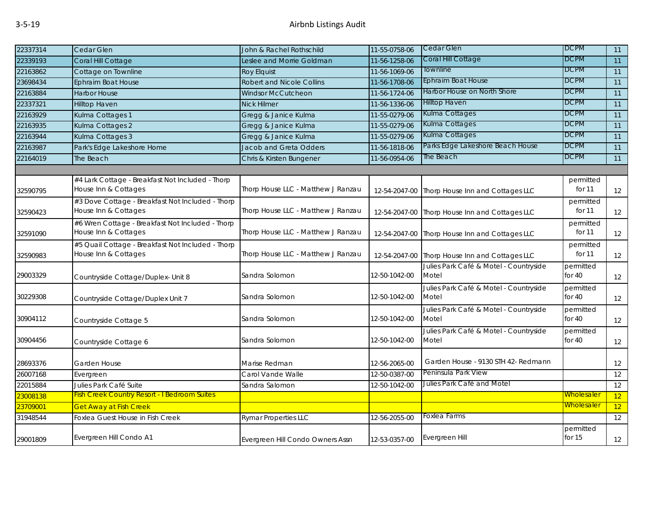| 22337314 | Cedar Glen                                                                | John & Rachel Rothschild           | 11-55-0758-06 | Cedar Glen                                      | <b>DCPM</b>           | 11              |
|----------|---------------------------------------------------------------------------|------------------------------------|---------------|-------------------------------------------------|-----------------------|-----------------|
| 22339193 | Coral Hill Cottage                                                        | Leslee and Morrie Goldman          | 11-56-1258-06 | Coral Hill Cottage                              | <b>DCPM</b>           | 11              |
| 22163862 | Cottage on Townline                                                       | <b>Roy Elquist</b>                 | 11-56-1069-06 | Townline                                        | <b>DCPM</b>           | 11              |
| 23698434 | Ephraim Boat House                                                        | Robert and Nicole Collins          | 11-56-1708-06 | <b>Ephraim Boat House</b>                       | <b>DCPM</b>           | 11              |
| 22163884 | <b>Harbor House</b>                                                       | <b>Windsor McCutcheon</b>          | 11-56-1724-06 | Harbor House on North Shore                     | <b>DCPM</b>           | 11              |
| 22337321 | <b>Hilltop Haven</b>                                                      | <b>Nick Hilmer</b>                 | 11-56-1336-06 | <b>Hilltop Haven</b>                            | <b>DCPM</b>           | 11              |
| 22163929 | Kulma Cottages 1                                                          | Gregg & Janice Kulma               | 11-55-0279-06 | Kulma Cottages                                  | <b>DCPM</b>           | 11              |
| 22163935 | Kulma Cottages 2                                                          | Gregg & Janice Kulma               | 11-55-0279-06 | Kulma Cottages                                  | <b>DCPM</b>           | $\overline{11}$ |
| 22163944 | Kulma Cottages 3                                                          | Gregg & Janice Kulma               | 11-55-0279-06 | Kulma Cottages                                  | <b>DCPM</b>           | 11              |
| 22163987 | Park's Edge Lakeshore Home                                                | Jacob and Greta Odders             | 11-56-1818-06 | Parks Edge Lakeshore Beach House                | <b>DCPM</b>           | 11              |
| 22164019 | The Beach                                                                 | Chris & Kirsten Bungener           | 11-56-0954-06 | The Beach                                       | <b>DCPM</b>           | 11              |
|          |                                                                           |                                    |               |                                                 |                       |                 |
|          | #4 Lark Cottage - Breakfast Not Included - Thorp                          |                                    |               |                                                 | permitted             |                 |
| 32590795 | House Inn & Cottages                                                      | Thorp House LLC - Matthew J Ranzau | 12-54-2047-00 | Thorp House Inn and Cottages LLC                | for 11                | 12              |
| 32590423 | #3 Dove Cottage - Breakfast Not Included - Thorp<br>House Inn & Cottages  | Thorp House LLC - Matthew J Ranzau | 12-54-2047-00 | Thorp House Inn and Cottages LLC                | permitted<br>for 11   | 12              |
| 32591090 | #6 Wren Cottage - Breakfast Not Included - Thorp<br>House Inn & Cottages  | Thorp House LLC - Matthew J Ranzau | 12-54-2047-00 | Thorp House Inn and Cottages LLC                | permitted<br>for 11   | 12              |
| 32590983 | #5 Quail Cottage - Breakfast Not Included - Thorp<br>House Inn & Cottages | Thorp House LLC - Matthew J Ranzau | 12-54-2047-00 | Thorp House Inn and Cottages LLC                | permitted<br>for 11   | 12              |
| 29003329 | Countryside Cottage/Duplex- Unit 8                                        | Sandra Solomon                     | 12-50-1042-00 | Julies Park Café & Motel - Countryside<br>Motel | permitted<br>for $40$ | 12              |
| 30229308 | Countryside Cottage/Duplex Unit 7                                         | Sandra Solomon                     | 12-50-1042-00 | Julies Park Café & Motel - Countryside<br>Motel | permitted<br>for $40$ | 12              |
| 30904112 | Countryside Cottage 5                                                     | Sandra Solomon                     | 12-50-1042-00 | Julies Park Café & Motel - Countryside<br>Motel | permitted<br>for $40$ | 12              |
| 30904456 | Countryside Cottage 6                                                     | Sandra Solomon                     | 12-50-1042-00 | Julies Park Café & Motel - Countryside<br>Motel | permitted<br>for $40$ | 12              |
| 28693376 | Garden House                                                              | Marise Redman                      | 12-56-2065-00 | Garden House - 9130 STH 42- Redmann             |                       | 12              |
| 26007168 | Evergreen                                                                 | Carol Vande Walle                  | 12-50-0387-00 | Peninsula Park View                             |                       | 12              |
| 22015884 | Julies Park Café Suite                                                    | Sandra Salomon                     | 12-50-1042-00 | Julies Park Café and Motel                      |                       | 12              |
| 23008138 | <b>Fish Creek Country Resort - I Bedroom Suites</b>                       |                                    |               |                                                 | Wholesaler            | 12              |
| 23709001 | <b>Get Away at Fish Creek</b>                                             |                                    |               |                                                 | Wholesaler            | 12              |
| 31948544 | Foxlea Guest House in Fish Creek                                          | <b>Rymar Properties LLC</b>        | 12-56-2055-00 | Foxlea Farms                                    |                       | 12              |
| 29001809 | Evergreen Hill Condo A1                                                   | Evergreen Hill Condo Owners Assn   | 12-53-0357-00 | Evergreen Hill                                  | permitted<br>for $15$ | 12              |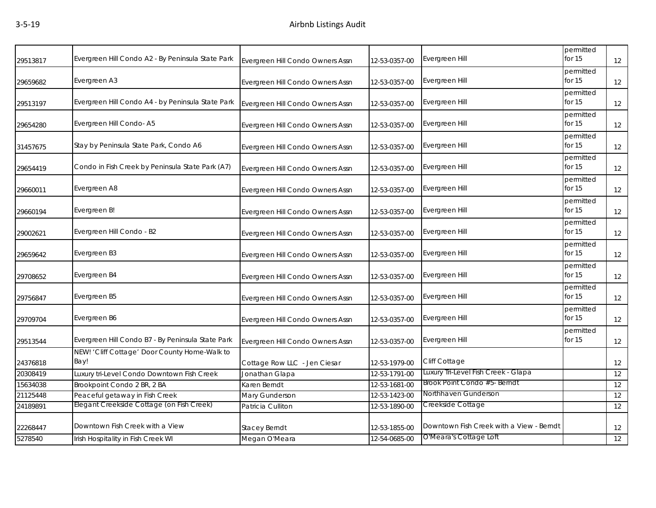| 29513817 | Evergreen Hill Condo A2 - By Peninsula State Park     | Evergreen Hill Condo Owners Assn | 12-53-0357-00 | Evergreen Hill                           | permitted<br>for 15   | 12 |
|----------|-------------------------------------------------------|----------------------------------|---------------|------------------------------------------|-----------------------|----|
| 29659682 | Evergreen A3                                          | Evergreen Hill Condo Owners Assn | 12-53-0357-00 | Evergreen Hill                           | permitted<br>for 15   | 12 |
| 29513197 | Evergreen Hill Condo A4 - by Peninsula State Park     | Evergreen Hill Condo Owners Assn | 12-53-0357-00 | Evergreen Hill                           | permitted<br>for 15   | 12 |
| 29654280 | Evergreen Hill Condo-A5                               | Evergreen Hill Condo Owners Assn | 12-53-0357-00 | Evergreen Hill                           | permitted<br>for $15$ | 12 |
| 31457675 | Stay by Peninsula State Park, Condo A6                | Evergreen Hill Condo Owners Assn | 12-53-0357-00 | Evergreen Hill                           | permitted<br>for 15   | 12 |
| 29654419 | Condo in Fish Creek by Peninsula State Park (A7)      | Evergreen Hill Condo Owners Assn | 12-53-0357-00 | Evergreen Hill                           | permitted<br>for $15$ | 12 |
| 29660011 | Evergreen A8                                          | Evergreen Hill Condo Owners Assn | 12-53-0357-00 | Evergreen Hill                           | permitted<br>for 15   | 12 |
| 29660194 | Evergreen B!                                          | Evergreen Hill Condo Owners Assn | 12-53-0357-00 | Evergreen Hill                           | permitted<br>for 15   | 12 |
| 29002621 | Evergreen Hill Condo - B2                             | Evergreen Hill Condo Owners Assn | 12-53-0357-00 | Evergreen Hill                           | permitted<br>for $15$ | 12 |
| 29659642 | Evergreen B3                                          | Evergreen Hill Condo Owners Assn | 12-53-0357-00 | Evergreen Hill                           | permitted<br>for $15$ | 12 |
| 29708652 | Evergreen B4                                          | Evergreen Hill Condo Owners Assn | 12-53-0357-00 | Evergreen Hill                           | permitted<br>for $15$ | 12 |
| 29756847 | Evergreen B5                                          | Evergreen Hill Condo Owners Assn | 12-53-0357-00 | Evergreen Hill                           | permitted<br>for 15   | 12 |
| 29709704 | Evergreen B6                                          | Evergreen Hill Condo Owners Assn | 12-53-0357-00 | Evergreen Hill                           | permitted<br>for 15   | 12 |
| 29513544 | Evergreen Hill Condo B7 - By Peninsula State Park     | Evergreen Hill Condo Owners Assn | 12-53-0357-00 | Evergreen Hill                           | permitted<br>for $15$ | 12 |
| 24376818 | NEW! 'Cliff Cottage' Door County Home-Walk to<br>Bay! | Cottage Row LLC - Jen Ciesar     | 12-53-1979-00 | Cliff Cottage                            |                       | 12 |
| 20308419 | Luxury tri-Level Condo Downtown Fish Creek            | Jonathan Glapa                   | 12-53-1791-00 | Luxury Tri-Level Fish Creek - Glapa      |                       | 12 |
| 15634038 | Brookpoint Condo 2 BR, 2 BA                           | Karen Berndt                     | 12-53-1681-00 | Brook Point Condo #5- Berndt             |                       | 12 |
| 21125448 | Peaceful getaway in Fish Creek                        | Mary Gunderson                   | 12-53-1423-00 | Northhaven Gunderson                     |                       | 12 |
| 24189891 | Elegant Creekside Cottage (on Fish Creek)             | Patricia Culliton                | 12-53-1890-00 | Creekside Cottage                        |                       | 12 |
| 22268447 | Downtown Fish Creek with a View                       | <b>Stacey Berndt</b>             | 12-53-1855-00 | Downtown Fish Creek with a View - Berndt |                       | 12 |
| 5278540  | Irish Hospitality in Fish Creek WI                    | Megan O'Meara                    | 12-54-0685-00 | O'Meara's Cottage Loft                   |                       | 12 |
|          |                                                       |                                  |               |                                          |                       |    |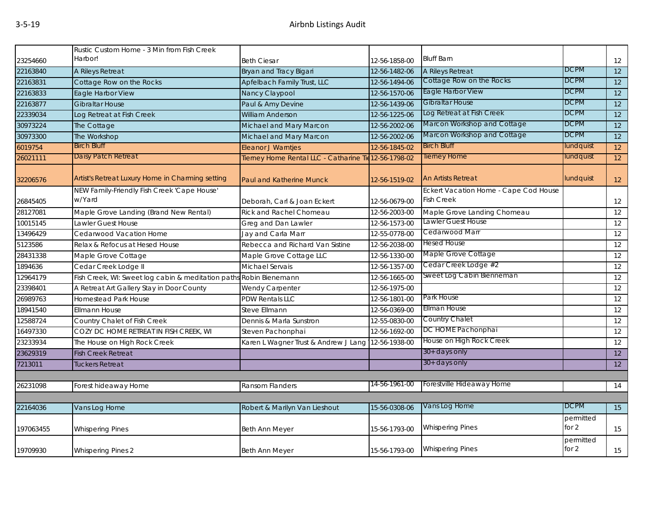|           | Rustic Custom Home - 3 Min from Fish Creek                         |                                                       |               |                                       |                    |                 |
|-----------|--------------------------------------------------------------------|-------------------------------------------------------|---------------|---------------------------------------|--------------------|-----------------|
| 23254660  | Harbor!                                                            | <b>Beth Ciesar</b>                                    | 12-56-1858-00 | <b>Bluff Barn</b>                     |                    | 12              |
| 22163840  | A Rileys Retreat                                                   | Bryan and Tracy Bigari                                | 12-56-1482-06 | A Rileys Retreat                      | <b>DCPM</b>        | 12              |
| 22163831  | Cottage Row on the Rocks                                           | Apfelbach Family Trust, LLC                           | 12-56-1494-06 | Cottage Row on the Rocks              | <b>DCPM</b>        | 12              |
| 22163833  | Eagle Harbor View                                                  | Nancy Claypool                                        | 12-56-1570-06 | Eagle Harbor View                     | <b>DCPM</b>        | 12              |
| 22163877  | <b>Gibraltar House</b>                                             | Paul & Amy Devine                                     | 12-56-1439-06 | <b>Gibraltar House</b>                | <b>DCPM</b>        | 12              |
| 22339034  | Log Retreat at Fish Creek                                          | <b>William Anderson</b>                               | 12-56-1225-06 | Log Retreat at Fish Creek             | <b>DCPM</b>        | $\overline{12}$ |
| 30973224  | The Cottage                                                        | Michael and Mary Marcon                               | 12-56-2002-06 | Marcon Workshop and Cottage           | <b>DCPM</b>        | 12              |
| 30973300  | The Workshop                                                       | Michael and Mary Marcon                               | 12-56-2002-06 | Marcon Workshop and Cottage           | <b>DCPM</b>        | 12              |
| 6019754   | <b>Birch Bluff</b>                                                 | <b>Eleanor J Warntjes</b>                             | 12-56-1845-02 | <b>Birch Bluff</b>                    | lundquist          | 12              |
| 26021111  | Daisy Patch Retreat                                                | Tierney Home Rental LLC - Catharine Tie 12-56-1798-02 |               | <b>Tierney Home</b>                   | lundquist          | 12              |
| 32206576  | Artist's Retreat Luxury Home in Charming setting                   | <b>Paul and Katherine Munck</b>                       | 12-56-1519-02 | <b>An Artists Retreat</b>             | lundquist          | 12              |
|           | NEW Family-Friendly Fish Creek 'Cape House'                        |                                                       |               | Eckert Vacation Home - Cape Cod House |                    |                 |
| 26845405  | w/Yard                                                             | Deborah, Carl & Joan Eckert                           | 12-56-0679-00 | <b>Fish Creek</b>                     |                    | 12              |
| 28127081  | Maple Grove Landing (Brand New Rental)                             | <b>Rick and Rachel Chomeau</b>                        | 12-56-2003-00 | Maple Grove Landing Chomeau           |                    | 12              |
| 10015145  | Lawler Guest House                                                 | Greg and Dan Lawler                                   | 12-56-1573-00 | Lawler Guest House                    |                    | 12              |
| 13496429  | Cedarwood Vacation Home                                            | Jay and Carla Marr                                    | 12-55-0778-00 | Cedarwood Marr                        |                    | 12              |
| 5123586   | Relax & Refocus at Hesed House                                     | Rebecca and Richard Van Sistine                       | 12-56-2038-00 | Hesed House                           |                    | 12              |
| 28431338  | Maple Grove Cottage                                                | Maple Grove Cottage LLC                               | 12-56-1330-00 | Maple Grove Cottage                   |                    | 12              |
| 1894636   | Cedar Creek Lodge II                                               | Michael Servais                                       | 12-56-1357-00 | Cedar Creek Lodge #2                  |                    | 12              |
| 12964179  | Fish Creek, WI: Sweet log cabin & meditation paths Robin Bienemann |                                                       | 12-56-1665-00 | Sweet Log Cabin Bienneman             |                    | 12              |
| 23398401  | A Retreat Art Gallery Stay in Door County                          | Wendy Carpenter                                       | 12-56-1975-00 |                                       |                    | 12              |
| 26989763  | Homestead Park House                                               | <b>PDW Rentals LLC</b>                                | 12-56-1801-00 | Park House                            |                    | 12              |
| 18941540  | <b>Ellmann House</b>                                               | Steve Ellmann                                         | 12-56-0369-00 | Ellman House                          |                    | 12              |
| 12588724  | Country Chalet of Fish Creek                                       | Dennis & Marla Sunstron                               | 12-55-0830-00 | Country Chalet                        |                    | 12              |
| 16497330  | COZY DC HOME RETREAT IN FISH CREEK, WI                             | Steven Pachonphai                                     | 12-56-1692-00 | DC HOME Pachonphai                    |                    | 12              |
| 23233934  | The House on High Rock Creek                                       | Karen L Wagner Trust & Andrew J Lang                  | 12-56-1938-00 | House on High Rock Creek              |                    | 12              |
| 23629319  | <b>Fish Creek Retreat</b>                                          |                                                       |               | $30+$ days only                       |                    | 12              |
| 7213011   | Tuckers Retreat                                                    |                                                       |               | 30+ days only                         |                    | 12              |
|           |                                                                    |                                                       |               |                                       |                    |                 |
| 26231098  | Forest hideaway Home                                               | Ransom Flanders                                       | 14-56-1961-00 | Forestville Hideaway Home             |                    | 14              |
|           |                                                                    |                                                       |               |                                       |                    |                 |
| 22164036  | Vans Log Home                                                      | Robert & Marilyn Van Lieshout                         | 15-56-0308-06 | Vans Log Home                         | <b>DCPM</b>        | 15              |
| 197063455 | <b>Whispering Pines</b>                                            | Beth Ann Meyer                                        | 15-56-1793-00 | <b>Whispering Pines</b>               | permitted<br>for 2 | 15              |
| 19709930  | <b>Whispering Pines 2</b>                                          | <b>Beth Ann Meyer</b>                                 | 15-56-1793-00 | <b>Whispering Pines</b>               | permitted<br>for 2 | 15              |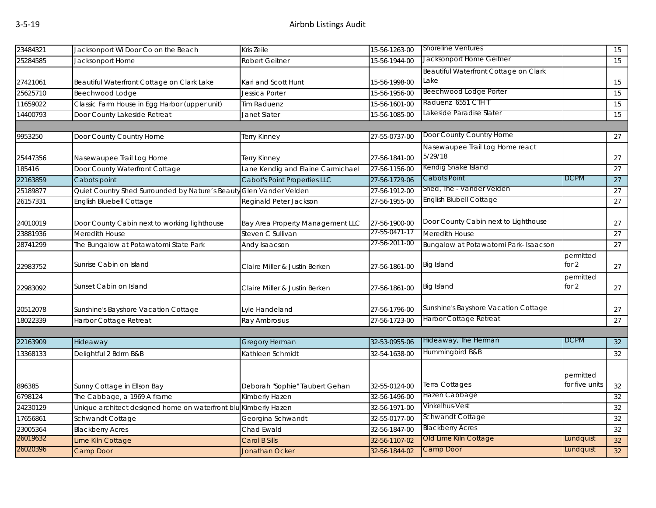| 23484321 |                                                                 |                                     |               | <b>Shoreline Ventures</b>             |                      |    |
|----------|-----------------------------------------------------------------|-------------------------------------|---------------|---------------------------------------|----------------------|----|
|          | Jacksonport Wi Door Co on the Beach                             | Kris Zeile                          | 15-56-1263-00 | Jacksonport Home Geitner              |                      | 15 |
| 25284585 | Jacksonport Home                                                | Robert Geitner                      | 15-56-1944-00 |                                       |                      | 15 |
|          |                                                                 |                                     |               | Beautiful Waterfront Cottage on Clark |                      |    |
| 27421061 | Beautiful Waterfront Cottage on Clark Lake                      | Kari and Scott Hunt                 | 15-56-1998-00 | Lake                                  |                      | 15 |
| 25625710 | Beechwood Lodge                                                 | Jessica Porter                      | 15-56-1956-00 | <b>Beechwood Lodge Porter</b>         |                      | 15 |
| 11659022 | Classic Farm House in Egg Harbor (upper unit)                   | Tim Raduenz                         | 15-56-1601-00 | Raduenz 6551 CTH T                    |                      | 15 |
| 14400793 | Door County Lakeside Retreat                                    | Janet Slater                        | 15-56-1085-00 | Lakeside Paradise Slater              |                      | 15 |
|          |                                                                 |                                     |               |                                       |                      |    |
| 9953250  | Door County Country Home                                        | Terry Kinney                        | 27-55-0737-00 | Door County Country Home              |                      | 27 |
|          |                                                                 |                                     |               | Nasewaupee Trail Log Home react       |                      |    |
| 25447356 | Nasewaupee Trail Log Home                                       | Terry Kinney                        | 27-56-1841-00 | 5/29/18                               |                      | 27 |
| 185416   | Door County Waterfront Cottage                                  | Lane Kendig and Elaine Carmichael   | 27-56-1156-00 | Kendig Snake Island                   |                      | 27 |
| 22163859 | Cabots point                                                    | <b>Cabot's Point Properties LLC</b> | 27-56-1729-06 | Cabots Point                          | <b>DCPM</b>          | 27 |
| 25189877 | Quiet Country Shed Surrounded by Nature's Beauty                | Glen Vander Velden                  | 27-56-1912-00 | Shed, The - Vander Velden             |                      | 27 |
| 26157331 | <b>English Bluebell Cottage</b>                                 | Reginald Peter Jackson              | 27-56-1955-00 | <b>English Blubell Cottage</b>        |                      | 27 |
|          |                                                                 |                                     |               |                                       |                      |    |
| 24010019 | Door County Cabin next to working lighthouse                    | Bay Area Property Management LLC    | 27-56-1900-00 | Door County Cabin next to Lighthouse  |                      | 27 |
| 23881936 | Meredith House                                                  | Steven C Sullivan                   | 27-55-0471-17 | Meredith House                        |                      | 27 |
| 28741299 | The Bungalow at Potawatomi State Park                           | Andy Isaacson                       | 27-56-2011-00 | Bungalow at Potawatomi Park- Isaacson |                      | 27 |
| 22983752 | Sunrise Cabin on Island                                         | Claire Miller & Justin Berken       | 27-56-1861-00 | Big Island                            | permitted<br>for $2$ | 27 |
| 22983092 | Sunset Cabin on Island                                          | Claire Miller & Justin Berken       | 27-56-1861-00 | Big Island                            | permitted<br>for $2$ | 27 |
| 20512078 | Sunshine's Bayshore Vacation Cottage                            | Lyle Handeland                      | 27-56-1796-00 | Sunshine's Bayshore Vacation Cottage  |                      | 27 |
| 18022339 | Harbor Cottage Retreat                                          | Ray Ambrosius                       | 27-56-1723-00 | Harbor Cottage Retreat                |                      | 27 |
|          |                                                                 |                                     |               |                                       |                      |    |
| 22163909 | Hideaway                                                        | <b>Gregory Herman</b>               | 32-53-0955-06 | Hideaway, The Herman                  | DCPM                 | 32 |
| 13368133 | Delightful 2 Bdrm B&B                                           | Kathleen Schmidt                    | 32-54-1638-00 | Hummingbird B&B                       |                      | 32 |
|          |                                                                 |                                     |               |                                       | permitted            |    |
| 896385   | Sunny Cottage in Ellson Bay                                     | Deborah "Sophie" Taubert Gehan      | 32-55-0124-00 | Terra Cottages                        | for five units       | 32 |
| 6798124  | The Cabbage, a 1969 A frame                                     | Kimberly Hazen                      | 32-56-1496-00 | Hazen Cabbage                         |                      | 32 |
| 24230129 | Unique architect designed home on waterfront blu Kimberly Hazen |                                     | 32-56-1971-00 | Vinkelhus-Vest                        |                      | 32 |
| 17656861 | Schwandt Cottage                                                | Georgina Schwandt                   | 32-55-0177-00 | Schwandt Cottage                      |                      | 32 |
| 23005364 | <b>Blackberry Acres</b>                                         | Chad Ewald                          | 32-56-1847-00 | <b>Blackberry Acres</b>               |                      | 32 |
| 26019632 | Lime Kiln Cottage                                               | Carol B Sills                       | 32-56-1107-02 | Old Lime Kiln Cottage                 | Lundquist            | 32 |
| 26020396 | Camp Door                                                       | <b>Jonathan Ocker</b>               | 32-56-1844-02 | Camp Door                             | Lundquist            | 32 |
|          |                                                                 |                                     |               |                                       |                      |    |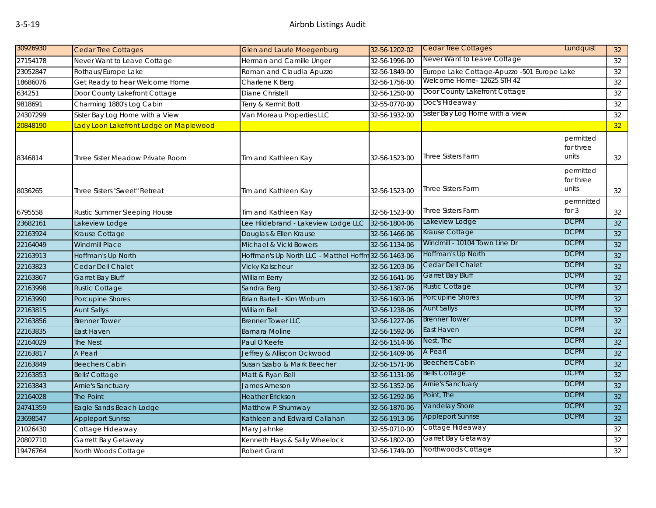| 30926930 | <b>Cedar Tree Cottages</b>             | <b>Glen and Laurie Moegenburg</b>                    | 32-56-1202-02 | <b>Cedar Tree Cottages</b>                  | Lundquist                                     | 32              |
|----------|----------------------------------------|------------------------------------------------------|---------------|---------------------------------------------|-----------------------------------------------|-----------------|
| 27154178 | Never Want to Leave Cottage            | Herman and Camille Unger                             | 32-56-1996-00 | Never Want to Leave Cottage                 |                                               | 32              |
| 23052847 | Rothaus/Europe Lake                    | Roman and Claudia Apuzzo                             | 32-56-1849-00 | Europe Lake Cottage-Apuzzo -501 Europe Lake |                                               | 32              |
| 18686076 | Get Ready to hear Welcome Home         | Charlene K Berg                                      | 32-56-1756-00 | Welcome Home- 12625 STH 42                  |                                               | 32              |
| 634251   | Door County Lakefront Cottage          | Diane Christell                                      | 32-56-1250-00 | Door County Lakefront Cottage               |                                               | 32              |
| 9818691  | Charming 1880's Log Cabin              | Terry & Kermit Bott                                  | 32-55-0770-00 | Doc's Hideaway                              |                                               | 32              |
| 24307299 | Sister Bay Log Home with a View        | Van Moreau Properties LLC                            | 32-56-1932-00 | Sister Bay Log Home with a view             |                                               | 32              |
| 20848190 | Lady Loon Lakefront Lodge on Maplewood |                                                      |               |                                             |                                               | 32              |
| 8346814  | Three Sister Meadow Private Room       | Tim and Kathleen Kay                                 | 32-56-1523-00 | <b>Three Sisters Farm</b>                   | permitted<br>for three<br>units               | 32              |
| 8036265  | Three Sisters "Sweet" Retreat          | Tim and Kathleen Kay                                 | 32-56-1523-00 | <b>Three Sisters Farm</b>                   | permitted<br>for three<br>units<br>permnitted | 32              |
| 6795558  | Rustic Summer Sleeping House           | Tim and Kathleen Kay                                 | 32-56-1523-00 | <b>Three Sisters Farm</b>                   | for $3$                                       | 32              |
| 23682161 | Lakeview Lodge                         | Lee Hildebrand - Lakeview Lodge LLC                  | 32-56-1804-06 | Lakeview Lodge                              | <b>DCPM</b>                                   | 32              |
| 22163924 | Krause Cottage                         | Douglas & Ellen Krause                               | 32-56-1466-06 | Krause Cottage                              | <b>DCPM</b>                                   | 32              |
| 22164049 | <b>Windmill Place</b>                  | Michael & Vicki Bowers                               | 32-56-1134-06 | Windmill - 10104 Town Line Dr               | <b>DCPM</b>                                   | 32              |
| 22163913 | Hoffman's Up North                     | Hoffman's Up North LLC - Matthel Hoffm 32-56-1463-06 |               | Hoffman's Up North                          | <b>DCPM</b>                                   | 32              |
| 22163823 | Cedar Dell Chalet                      | Vicky Kalscheur                                      | 32-56-1203-06 | Cedar Dell Chalet                           | <b>DCPM</b>                                   | 32              |
| 22163867 | <b>Garret Bay Bluff</b>                | William Berry                                        | 32-56-1641-06 | <b>Garret Bay Bluff</b>                     | <b>DCPM</b>                                   | 32              |
| 22163998 | <b>Rustic Cottage</b>                  | Sandra Berg                                          | 32-56-1387-06 | <b>Rustic Cottage</b>                       | <b>DCPM</b>                                   | 32              |
| 22163990 | Porcupine Shores                       | Brian Bartell - Kim Winburn                          | 32-56-1603-06 | <b>Porcupine Shores</b>                     | <b>DCPM</b>                                   | 32              |
| 22163815 | <b>Aunt Sallys</b>                     | William Bell                                         | 32-56-1238-06 | <b>Aunt Sallys</b>                          | <b>DCPM</b>                                   | 32              |
| 22163856 | <b>Brenner Tower</b>                   | <b>Brenner Tower LLC</b>                             | 32-56-1227-06 | <b>Brenner Tower</b>                        | <b>DCPM</b>                                   | 32              |
| 22163835 | East Haven                             | <b>Barnara Moline</b>                                | 32-56-1592-06 | East Haven                                  | <b>DCPM</b>                                   | 32              |
| 22164029 | <b>The Nest</b>                        | Paul O'Keefe                                         | 32-56-1514-06 | Nest, The                                   | <b>DCPM</b>                                   | 32              |
| 22163817 | A Pearl                                | Jeffrey & Alliscon Ockwood                           | 32-56-1409-06 | A Pearl                                     | <b>DCPM</b>                                   | 32              |
| 22163849 | <b>Beechers Cabin</b>                  | Susan Szabo & Mark Beecher                           | 32-56-1571-06 | <b>Beechers Cabin</b>                       | <b>DCPM</b>                                   | 32              |
| 22163853 | <b>Bells' Cottage</b>                  | Matt & Ryan Bell                                     | 32-56-1131-06 | <b>Bells Cottage</b>                        | <b>DCPM</b>                                   | 32              |
| 22163843 | <b>Arnie's Sanctuary</b>               | James Arneson                                        | 32-56-1352-06 | <b>Arnie's Sanctuary</b>                    | <b>DCPM</b>                                   | 32              |
| 22164028 | The Point                              | <b>Heather Erickson</b>                              | 32-56-1292-06 | Point, The                                  | <b>DCPM</b>                                   | 32              |
| 24741359 | Eagle Sands Beach Lodge                | Matthew P Shumway                                    | 32-56-1870-06 | Vandelay Shore                              | <b>DCPM</b>                                   | 32 <sup>°</sup> |
| 23698547 | <b>Appleport Sunrise</b>               | Kathleen and Edward Callahan                         | 32-56-1913-06 | <b>Appleport Sunrise</b>                    | <b>DCPM</b>                                   | 32              |
| 21026430 | Cottage Hideaway                       | Mary Jahnke                                          | 32-55-0710-00 | Cottage Hideaway                            |                                               | 32              |
| 20802710 | Garrett Bay Getaway                    | Kenneth Hays & Sally Wheelock                        | 32-56-1802-00 | Garret Bay Getaway                          |                                               | 32              |
| 19476764 | North Woods Cottage                    | <b>Robert Grant</b>                                  | 32-56-1749-00 | Northwoods Cottage                          |                                               | 32              |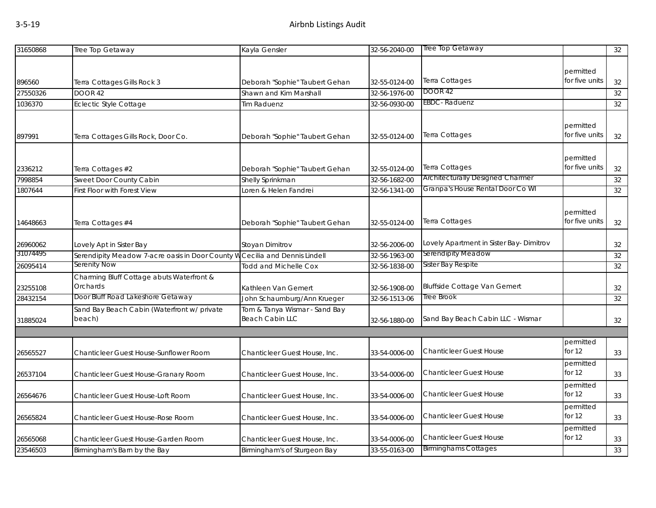| 31650868           | Tree Top Getaway                                                            | Kayla Gensler                  | 32-56-2040-00                  | Tree Top Getaway                         |                             | 32 |
|--------------------|-----------------------------------------------------------------------------|--------------------------------|--------------------------------|------------------------------------------|-----------------------------|----|
|                    |                                                                             |                                |                                |                                          |                             |    |
|                    |                                                                             |                                |                                | Terra Cottages                           | permitted<br>for five units |    |
| 896560<br>27550326 | Terra Cottages Gills Rock 3                                                 | Deborah "Sophie" Taubert Gehan | 32-55-0124-00<br>32-56-1976-00 | <b>DOOR 42</b>                           |                             | 32 |
|                    | DOOR 42                                                                     | Shawn and Kim Marshall         |                                | <b>EBDC</b> -Raduenz                     |                             | 32 |
| 1036370            | <b>Eclectic Style Cottage</b>                                               | <b>Tim Raduenz</b>             | 32-56-0930-00                  |                                          |                             | 32 |
|                    |                                                                             |                                |                                |                                          | permitted                   |    |
| 897991             | Terra Cottages Gills Rock, Door Co.                                         | Deborah "Sophie" Taubert Gehan | 32-55-0124-00                  | Terra Cottages                           | for five units              | 32 |
|                    |                                                                             |                                |                                |                                          | permitted                   |    |
| 2336212            | Terra Cottages #2                                                           | Deborah "Sophie" Taubert Gehan | 32-55-0124-00                  | Terra Cottages                           | for five units              | 32 |
| 7998854            | Sweet Door County Cabin                                                     | Shelly Sprinkman               | 32-56-1682-00                  | Architecturally Designed Charmer         |                             | 32 |
| 1807644            | First Floor with Forest View                                                | Loren & Helen Fandrei          | 32-56-1341-00                  | Granpa's House Rental Door Co WI         |                             | 32 |
|                    |                                                                             |                                |                                |                                          |                             |    |
|                    |                                                                             |                                |                                |                                          | permitted                   |    |
| 14648663           | Terra Cottages #4                                                           | Deborah "Sophie" Taubert Gehan | 32-55-0124-00                  | Terra Cottages                           | for five units              | 32 |
| 26960062           | Lovely Apt in Sister Bay                                                    | Stoyan Dimitrov                | 32-56-2006-00                  | Lovely Apartment in Sister Bay- Dimitrov |                             | 32 |
| 31074495           | Serendipity Meadow 7-acre oasis in Door County W Cecilia and Dennis Lindell |                                | 32-56-1963-00                  | Serendipity Meadow                       |                             | 32 |
| 26095414           | Serenity Now                                                                | <b>Todd and Michelle Cox</b>   | 32-56-1838-00                  | Sister Bay Respite                       |                             | 32 |
|                    | Charming Bluff Cottage abuts Waterfront &                                   |                                |                                |                                          |                             |    |
| 23255108           | Orchards                                                                    | Kathleen Van Gemert            | 32-56-1908-00                  | <b>Bluffside Cottage Van Gemert</b>      |                             | 32 |
| 28432154           | Door Bluff Road Lakeshore Getaway                                           | John Schaumburg/Ann Krueger    | 32-56-1513-06                  | Tree Brook                               |                             | 32 |
|                    | Sand Bay Beach Cabin (Waterfront w/ private                                 | Tom & Tanya Wismar - Sand Bay  |                                |                                          |                             |    |
| 31885024           | beach)                                                                      | <b>Beach Cabin LLC</b>         | 32-56-1880-00                  | Sand Bay Beach Cabin LLC - Wismar        |                             | 32 |
|                    |                                                                             |                                |                                |                                          |                             |    |
|                    |                                                                             |                                |                                |                                          | permitted                   |    |
| 26565527           | Chanticleer Guest House-Sunflower Room                                      | Chanticleer Guest House, Inc.  | 33-54-0006-00                  | <b>Chanticleer Guest House</b>           | for $12$                    | 33 |
|                    |                                                                             |                                |                                |                                          | permitted                   |    |
| 26537104           | Chanticleer Guest House-Granary Room                                        | Chanticleer Guest House, Inc.  | 33-54-0006-00                  | <b>Chanticleer Guest House</b>           | for $12$                    | 33 |
| 26564676           | Chanticleer Guest House-Loft Room                                           | Chanticleer Guest House, Inc.  | 33-54-0006-00                  | <b>Chanticleer Guest House</b>           | permitted<br>for $12$       | 33 |
|                    |                                                                             |                                |                                |                                          | permitted                   |    |
| 26565824           | Chanticleer Guest House-Rose Room                                           | Chanticleer Guest House, Inc.  | 33-54-0006-00                  | <b>Chanticleer Guest House</b>           | for $12$                    | 33 |
|                    |                                                                             |                                |                                |                                          | permitted                   |    |
| 26565068           | Chanticleer Guest House-Garden Room                                         | Chanticleer Guest House, Inc.  | 33-54-0006-00                  | <b>Chanticleer Guest House</b>           | for $12$                    | 33 |
| 23546503           | Birmingham's Barn by the Bay                                                | Birmingham's of Sturgeon Bay   | 33-55-0163-00                  | <b>Birminghams Cottages</b>              |                             | 33 |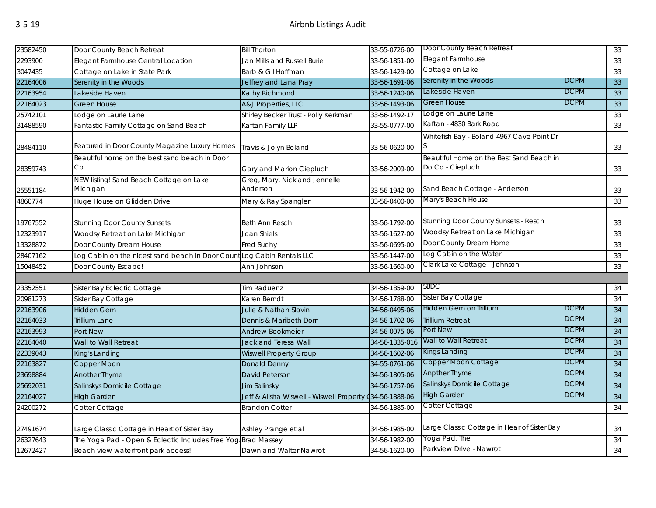| 23582450 | Door County Beach Retreat                                             | <b>Bill Thorton</b>                                     | 33-55-0726-00  | Door County Beach Retreat                                    |             | 33 |
|----------|-----------------------------------------------------------------------|---------------------------------------------------------|----------------|--------------------------------------------------------------|-------------|----|
| 2293900  | Elegant Farmhouse Central Location                                    | Jan Mills and Russell Burie                             | 33-56-1851-00  | Elegant Farmhouse                                            |             | 33 |
| 3047435  | Cottage on Lake in State Park                                         | Barb & Gil Hoffman                                      | 33-56-1429-00  | Cottage on Lake                                              |             | 33 |
| 22164006 | Serenity in the Woods                                                 | Jeffrey and Lana Pray                                   | 33-56-1691-06  | Serenity in the Woods                                        | <b>DCPM</b> | 33 |
| 22163954 | Lakeside Haven                                                        | Kathy Richmond                                          | 33-56-1240-06  | Lakeside Haven                                               | <b>DCPM</b> | 33 |
| 22164023 | <b>Green House</b>                                                    | A&J Properties, LLC                                     | 33-56-1493-06  | Green House                                                  | <b>DCPM</b> | 33 |
| 25742101 | Lodge on Laurie Lane                                                  | Shirley Becker Trust - Polly Kerkman                    | 33-56-1492-17  | Lodge on Laurie Lane                                         |             | 33 |
| 31488590 | Fantastic Family Cottage on Sand Beach                                | Kaftan Family LLP                                       | 33-55-0777-00  | Kaftan - 4830 Bark Road                                      |             | 33 |
| 28484110 | Featured in Door County Magazine Luxury Homes                         | Travis & Jolyn Boland                                   | 33-56-0620-00  | Whitefish Bay - Boland 4967 Cave Point Dr<br>S               |             | 33 |
| 28359743 | Beautiful home on the best sand beach in Door<br>Co.                  | Gary and Marion Ciepluch                                | 33-56-2009-00  | Beautiful Home on the Best Sand Beach in<br>Do Co - Ciepluch |             | 33 |
| 25551184 | NEW listing! Sand Beach Cottage on Lake<br>Michigan                   | Greg, Mary, Nick and Jennelle<br>Anderson               | 33-56-1942-00  | Sand Beach Cottage - Anderson                                |             | 33 |
| 4860774  | Huge House on Glidden Drive                                           | Mary & Ray Spangler                                     | 33-56-0400-00  | Mary's Beach House                                           |             | 33 |
| 19767552 | <b>Stunning Door County Sunsets</b>                                   | <b>Beth Ann Resch</b>                                   | 33-56-1792-00  | Stunning Door County Sunsets - Resch                         |             | 33 |
| 12323917 | Woodsy Retreat on Lake Michigan                                       | Joan Shiels                                             | 33-56-1627-00  | Woodsy Retreat on Lake Michigan                              |             | 33 |
| 13328872 | Door County Dream House                                               | Fred Suchy                                              | 33-56-0695-00  | Door County Dream Home                                       |             | 33 |
| 28407162 | Log Cabin on the nicest sand beach in Door CountLog Cabin Rentals LLC |                                                         | 33-56-1447-00  | Log Cabin on the Water                                       |             | 33 |
| 15048452 | Door County Escape!                                                   | Ann Johnson                                             | 33-56-1660-00  | Clark Lake Cottage - Johnson                                 |             | 33 |
|          |                                                                       |                                                         |                |                                                              |             |    |
| 23352551 | Sister Bay Eclectic Cottage                                           | <b>Tim Raduenz</b>                                      | 34-56-1859-00  | SBDC                                                         |             | 34 |
| 20981273 | Sister Bay Cottage                                                    | Karen Berndt                                            | 34-56-1788-00  | Sister Bay Cottage                                           |             | 34 |
| 22163906 | <b>Hidden Gem</b>                                                     | Julie & Nathan Slovin                                   | 34-56-0495-06  | Hidden Gem on Trillium                                       | <b>DCPM</b> | 34 |
| 22164033 | Trillium Lane                                                         | Dennis & Maribeth Dorn                                  | 34-56-1702-06  | <b>Trillium Retreat</b>                                      | <b>DCPM</b> | 34 |
| 22163993 | Port New                                                              | <b>Andrew Bookmeier</b>                                 | 34-56-0075-06  | Port New                                                     | <b>DCPM</b> | 34 |
| 22164040 | Wall to Wall Retreat                                                  | Jack and Teresa Wall                                    | 34-56-1335-016 | Wall to Wall Retreat                                         | <b>DCPM</b> | 34 |
| 22339043 | King's Landing                                                        | <b>Wiswell Property Group</b>                           | 34-56-1602-06  | Kings Landing                                                | <b>DCPM</b> | 34 |
| 22163827 | Copper Moon                                                           | Donald Denny                                            | 34-55-0761-06  | Copper Moon Cottage                                          | <b>DCPM</b> | 34 |
| 23698884 | Another Thyme                                                         | David Peterson                                          | 34-56-1805-06  | Anpther Thyme                                                | <b>DCPM</b> | 34 |
| 25692031 | Salinskys Domicile Cottage                                            | <b>Jim Salinsky</b>                                     | 34-56-1757-06  | Salinskys Domicile Cottage                                   | <b>DCPM</b> | 34 |
| 22164027 | <b>High Garden</b>                                                    | Jeff & Alisha Wiswell - Wiswell Property (34-56-1888-06 |                | High Garden                                                  | DCPM        | 34 |
| 24200272 | Cotter Cottage                                                        | <b>Brandon Cotter</b>                                   | 34-56-1885-00  | Cotter Cottage                                               |             | 34 |
| 27491674 | Large Classic Cottage in Heart of Sister Bay                          | Ashley Prange et al                                     | 34-56-1985-00  | Large Classic Cottage in Hear of Sister Bay                  |             | 34 |
| 26327643 | The Yoga Pad - Open & Eclectic Includes Free Yog Brad Massey          |                                                         | 34-56-1982-00  | Yoga Pad, The                                                |             | 34 |
| 12672427 | Beach view waterfront park access!                                    | Dawn and Walter Nawrot                                  | 34-56-1620-00  | Parkview Drive - Nawrot                                      |             | 34 |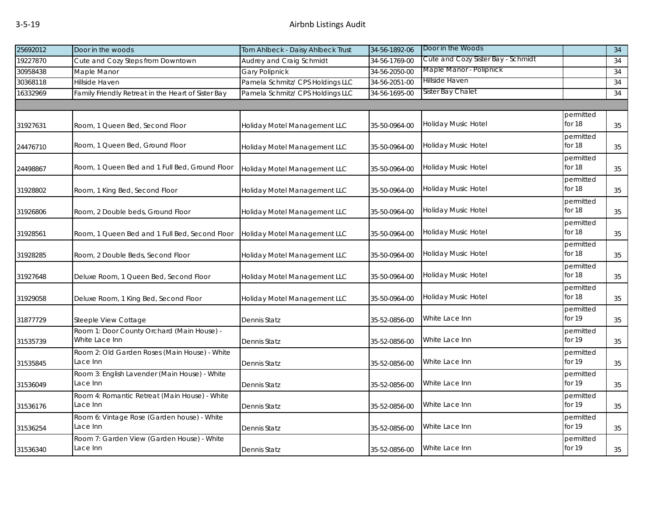## 3-5-19 Airbnb Listings Audit

| 25692012 | Door in the woods                                            | Tom Ahlbeck - Daisy Ahlbeck Trust | 34-56-1892-06 | Door in the Woods                  |                     | 34 |
|----------|--------------------------------------------------------------|-----------------------------------|---------------|------------------------------------|---------------------|----|
| 19227870 | Cute and Cozy Steps from Downtown                            | Audrey and Craig Schmidt          | 34-56-1769-00 | Cute and Cozy Sister Bay - Schmidt |                     | 34 |
| 30958438 | Maple Manor                                                  | <b>Gary Polipnick</b>             | 34-56-2050-00 | Maple Manor - Polipnick            |                     | 34 |
| 30368118 | Hillside Haven                                               | Pamela Schmitz/ CPS Holdings LLC  | 34-56-2051-00 | Hillside Haven                     |                     | 34 |
| 16332969 | Family Friendly Retreat in the Heart of Sister Bay           | Pamela Schmitz/ CPS Holdings LLC  | 34-56-1695-00 | Sister Bay Chalet                  |                     | 34 |
|          |                                                              |                                   |               |                                    |                     |    |
| 31927631 | Room, 1 Queen Bed, Second Floor                              | Holiday Motel Management LLC      | 35-50-0964-00 | Holiday Music Hotel                | permitted<br>for 18 | 35 |
| 24476710 | Room, 1 Queen Bed, Ground Floor                              | Holiday Motel Management LLC      | 35-50-0964-00 | Holiday Music Hotel                | permitted<br>for 18 | 35 |
| 24498867 | Room, 1 Queen Bed and 1 Full Bed, Ground Floor               | Holiday Motel Management LLC      | 35-50-0964-00 | Holiday Music Hotel                | permitted<br>for 18 | 35 |
| 31928802 | Room, 1 King Bed, Second Floor                               | Holiday Motel Management LLC      | 35-50-0964-00 | Holiday Music Hotel                | permitted<br>for 18 | 35 |
| 31926806 | Room, 2 Double beds, Ground Floor                            | Holiday Motel Management LLC      | 35-50-0964-00 | Holiday Music Hotel                | permitted<br>for 18 | 35 |
| 31928561 | Room, 1 Queen Bed and 1 Full Bed, Second Floor               | Holiday Motel Management LLC      | 35-50-0964-00 | Holiday Music Hotel                | permitted<br>for 18 | 35 |
| 31928285 | Room, 2 Double Beds, Second Floor                            | Holiday Motel Management LLC      | 35-50-0964-00 | Holiday Music Hotel                | permitted<br>for 18 | 35 |
| 31927648 | Deluxe Room, 1 Queen Bed, Second Floor                       | Holiday Motel Management LLC      | 35-50-0964-00 | Holiday Music Hotel                | permitted<br>for 18 | 35 |
| 31929058 | Deluxe Room, 1 King Bed, Second Floor                        | Holiday Motel Management LLC      | 35-50-0964-00 | Holiday Music Hotel                | permitted<br>for 18 | 35 |
| 31877729 | Steeple View Cottage                                         | Dennis Statz                      | 35-52-0856-00 | White Lace Inn                     | permitted<br>for 19 | 35 |
| 31535739 | Room 1: Door County Orchard (Main House) -<br>White Lace Inn | Dennis Statz                      | 35-52-0856-00 | White Lace Inn                     | permitted<br>for 19 | 35 |
| 31535845 | Room 2: Old Garden Roses (Main House) - White<br>Lace Inn    | Dennis Statz                      | 35-52-0856-00 | White Lace Inn                     | permitted<br>for 19 | 35 |
| 31536049 | Room 3: English Lavender (Main House) - White<br>Lace Inn    | Dennis Statz                      | 35-52-0856-00 | White Lace Inn                     | permitted<br>for 19 | 35 |
| 31536176 | Room 4: Romantic Retreat (Main House) - White<br>Lace Inn    | Dennis Statz                      | 35-52-0856-00 | White Lace Inn                     | permitted<br>for 19 | 35 |
| 31536254 | Room 6: Vintage Rose (Garden house) - White<br>Lace Inn      | Dennis Statz                      | 35-52-0856-00 | White Lace Inn                     | permitted<br>for 19 | 35 |
| 31536340 | Room 7: Garden View (Garden House) - White<br>Lace Inn       | Dennis Statz                      | 35-52-0856-00 | White Lace Inn                     | permitted<br>for 19 | 35 |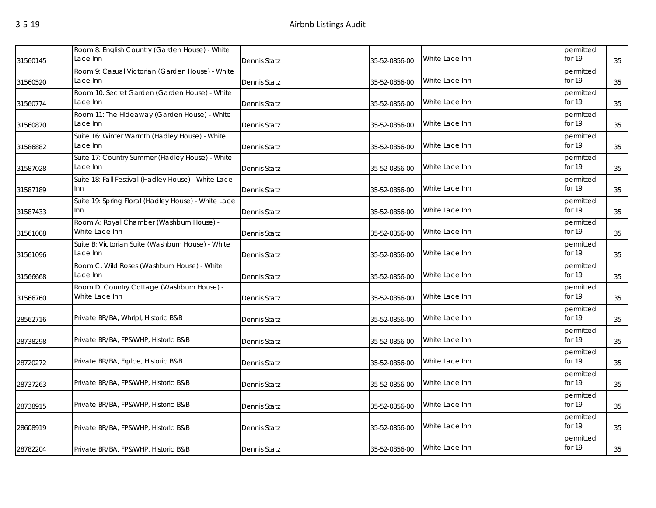| Room 8: English Country (Garden House) - White<br>Lace Inn    |              |               |                | permitted           |    |
|---------------------------------------------------------------|--------------|---------------|----------------|---------------------|----|
|                                                               | Dennis Statz | 35-52-0856-00 | White Lace Inn | for 19              | 35 |
| Room 9: Casual Victorian (Garden House) - White<br>Lace Inn   | Dennis Statz | 35-52-0856-00 | White Lace Inn | permitted<br>for 19 | 35 |
| Room 10: Secret Garden (Garden House) - White<br>Lace Inn     | Dennis Statz | 35-52-0856-00 | White Lace Inn | permitted<br>for 19 | 35 |
| Room 11: The Hideaway (Garden House) - White<br>Lace Inn      | Dennis Statz | 35-52-0856-00 | White Lace Inn | permitted<br>for 19 | 35 |
| Suite 16: Winter Warmth (Hadley House) - White<br>Lace Inn    | Dennis Statz | 35-52-0856-00 | White Lace Inn | permitted<br>for 19 | 35 |
| Suite 17: Country Summer (Hadley House) - White<br>Lace Inn   | Dennis Statz | 35-52-0856-00 | White Lace Inn | permitted<br>for 19 | 35 |
| Suite 18: Fall Festival (Hadley House) - White Lace<br>Inn    | Dennis Statz | 35-52-0856-00 | White Lace Inn | permitted<br>for 19 | 35 |
| Suite 19: Spring Floral (Hadley House) - White Lace<br>Inn    | Dennis Statz | 35-52-0856-00 | White Lace Inn | permitted<br>for 19 | 35 |
| Room A: Royal Chamber (Washburn House) -<br>White Lace Inn    | Dennis Statz | 35-52-0856-00 | White Lace Inn | permitted<br>for 19 | 35 |
| Suite B: Victorian Suite (Washburn House) - White<br>Lace Inn | Dennis Statz | 35-52-0856-00 | White Lace Inn | permitted<br>for 19 | 35 |
| Room C: Wild Roses (Washburn House) - White<br>Lace Inn       | Dennis Statz | 35-52-0856-00 | White Lace Inn | permitted<br>for 19 | 35 |
| Room D: Country Cottage (Washburn House) -<br>White Lace Inn  | Dennis Statz | 35-52-0856-00 | White Lace Inn | permitted<br>for 19 | 35 |
| Private BR/BA, Whrlpl, Historic B&B                           | Dennis Statz | 35-52-0856-00 | White Lace Inn | permitted<br>for 19 | 35 |
| Private BR/BA, FP&WHP, Historic B&B                           | Dennis Statz | 35-52-0856-00 | White Lace Inn | permitted<br>for 19 | 35 |
| Private BR/BA, Frplce, Historic B&B                           | Dennis Statz | 35-52-0856-00 | White Lace Inn | permitted<br>for 19 | 35 |
| Private BR/BA, FP&WHP, Historic B&B                           | Dennis Statz | 35-52-0856-00 | White Lace Inn | permitted<br>for 19 | 35 |
| Private BR/BA, FP&WHP, Historic B&B                           | Dennis Statz | 35-52-0856-00 | White Lace Inn | permitted<br>for 19 | 35 |
| Private BR/BA, FP&WHP, Historic B&B                           | Dennis Statz | 35-52-0856-00 | White Lace Inn | permitted<br>for 19 | 35 |
| Private BR/BA, FP&WHP, Historic B&B                           | Dennis Statz | 35-52-0856-00 | White Lace Inn | permitted<br>for 19 | 35 |
|                                                               |              |               |                |                     |    |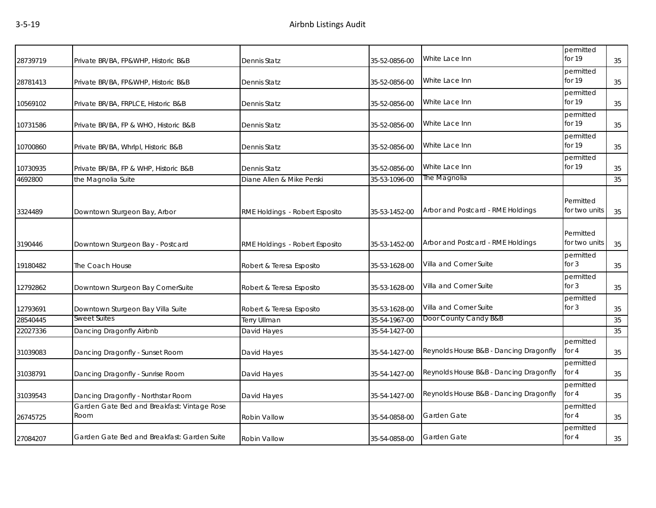| 28739719 | Private BR/BA, FP&WHP, Historic B&B                 | Dennis Statz                   | 35-52-0856-00 | White Lace Inn                         | permitted<br>for 19        | 35 |
|----------|-----------------------------------------------------|--------------------------------|---------------|----------------------------------------|----------------------------|----|
| 28781413 | Private BR/BA, FP&WHP, Historic B&B                 | Dennis Statz                   | 35-52-0856-00 | White Lace Inn                         | permitted<br>for 19        | 35 |
| 10569102 | Private BR/BA, FRPLCE, Historic B&B                 | Dennis Statz                   | 35-52-0856-00 | White Lace Inn                         | permitted<br>for 19        | 35 |
| 10731586 | Private BR/BA, FP & WHO, Historic B&B               | Dennis Statz                   | 35-52-0856-00 | White Lace Inn                         | permitted<br>for 19        | 35 |
| 10700860 | Private BR/BA, Whrlpl, Historic B&B                 | Dennis Statz                   | 35-52-0856-00 | White Lace Inn                         | permitted<br>for 19        | 35 |
| 10730935 | Private BR/BA, FP & WHP, Historic B&B               | Dennis Statz                   | 35-52-0856-00 | White Lace Inn                         | permitted<br>for 19        | 35 |
| 4692800  | the Magnolia Suite                                  | Diane Allen & Mike Perski      | 35-53-1096-00 | The Magnolia                           |                            | 35 |
| 3324489  | Downtown Sturgeon Bay, Arbor                        | RME Holdings - Robert Esposito | 35-53-1452-00 | Arbor and Postcard - RME Holdings      | Permitted<br>for two units | 35 |
| 3190446  | Downtown Sturgeon Bay - Postcard                    | RME Holdings - Robert Esposito | 35-53-1452-00 | Arbor and Postcard - RME Holdings      | Permitted<br>for two units | 35 |
| 19180482 | The Coach House                                     | Robert & Teresa Esposito       | 35-53-1628-00 | Villa and Corner Suite                 | permitted<br>for $3$       | 35 |
| 12792862 | Downtown Sturgeon Bay CornerSuite                   | Robert & Teresa Esposito       | 35-53-1628-00 | Villa and Corner Suite                 | permitted<br>for 3         | 35 |
| 12793691 | Downtown Sturgeon Bay Villa Suite                   | Robert & Teresa Esposito       | 35-53-1628-00 | Villa and Corner Suite                 | permitted<br>for 3         | 35 |
| 28540445 | Sweet Suites                                        | <b>Terry Ullman</b>            | 35-54-1967-00 | Door County Candy B&B                  |                            | 35 |
| 22027336 | Dancing Dragonfly Airbnb                            | David Hayes                    | 35-54-1427-00 |                                        |                            | 35 |
| 31039083 | Dancing Dragonfly - Sunset Room                     | David Hayes                    | 35-54-1427-00 | Reynolds House B&B - Dancing Dragonfly | permitted<br>for $4$       | 35 |
| 31038791 | Dancing Dragonfly - Sunrise Room                    | David Hayes                    | 35-54-1427-00 | Reynolds House B&B - Dancing Dragonfly | permitted<br>for $4$       | 35 |
| 31039543 | Dancing Dragonfly - Northstar Room                  | David Hayes                    | 35-54-1427-00 | Reynolds House B&B - Dancing Dragonfly | permitted<br>for 4         | 35 |
| 26745725 | Garden Gate Bed and Breakfast: Vintage Rose<br>Room | Robin Vallow                   | 35-54-0858-00 | Garden Gate                            | permitted<br>for $4$       | 35 |
| 27084207 | Garden Gate Bed and Breakfast: Garden Suite         | Robin Vallow                   | 35-54-0858-00 | Garden Gate                            | permitted<br>for $4$       | 35 |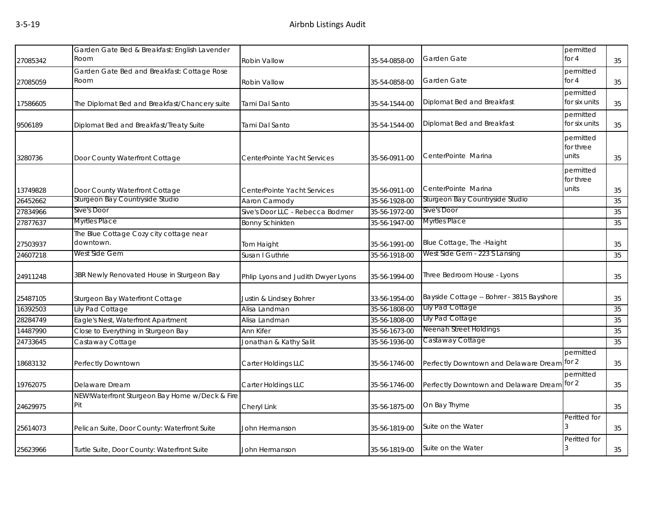| Garden Gate Bed & Breakfast: English Lavender<br>Garden Gate<br>Room<br>27085342<br><b>Robin Vallow</b><br>35-54-0858-00<br>Garden Gate Bed and Breakfast: Cottage Rose<br>Room<br>Garden Gate<br>27085059<br>Robin Vallow<br>35-54-0858-00<br>Diplomat Bed and Breakfast<br>The Diplomat Bed and Breakfast/Chancery suite<br>Tami Dal Santo<br>35-54-1544-00<br>17586605<br>Diplomat Bed and Breakfast<br>Diplomat Bed and Breakfast/Treaty Suite<br>Tami Dal Santo<br>35-54-1544-00<br>9506189<br>CenterPointe Marina<br>3280736<br>Door County Waterfront Cottage<br>CenterPointe Yacht Services<br>35-56-0911-00<br>CenterPointe Marina<br>13749828<br>Door County Waterfront Cottage<br>35-56-0911-00<br>CenterPointe Yacht Services<br>Sturgeon Bay Countryside Studio<br>Sturgeon Bay Countryside Studio<br>26452662<br>Aaron Carmody<br>35-56-1928-00<br>Sive's Door<br>Sive's Door<br>27834966<br>Sive's Door LLC - Rebecca Bodmer<br>35-56-1972-00<br>Myrtles Place<br><b>Myrtles Place</b><br>27877637<br>35-56-1947-00<br><b>Bonny Schinkten</b><br>The Blue Cottage Cozy city cottage near<br>Blue Cottage, The -Haight<br>downtown.<br>27503937<br>Tom Haight<br>35-56-1991-00<br>West Side Gem - 223 S Lansing<br>West Side Gem<br>24607218<br>Susan I Guthrie<br>35-56-1918-00<br>Three Bedroom House - Lyons<br>3BR Newly Renovated House in Sturgeon Bay<br>24911248<br>Phlip Lyons and Judith Dwyer Lyons<br>35-56-1994-00<br>Bayside Cottage -- Bohrer - 3815 Bayshore<br>25487105<br>Sturgeon Bay Waterfront Cottage<br>Justin & Lindsey Bohrer<br>33-56-1954-00<br>Lily Pad Cottage<br>Lily Pad Cottage<br>16392503<br>Alisa Landman<br>35-56-1808-00<br>Lily Pad Cottage<br>Eagle's Nest, Waterfront Apartment<br>35-56-1808-00<br>28284749<br>Alisa Landman<br>Neenah Street Holdings<br>Close to Everything in Sturgeon Bay<br>14487990<br>35-56-1673-00<br>Ann Kifer<br>Castaway Cottage<br>24733645<br>Castaway Cottage<br>35-56-1936-00<br>Jonathan & Kathy Salit<br>18683132<br>Perfectly Downtown<br>Carter Holdings LLC<br>35-56-1746-00<br>Perfectly Downtown and Delaware Dream<br>19762075<br>Delaware Dream<br>Carter Holdings LLC<br>Perfectly Downtown and Delaware Dream<br>35-56-1746-00 |                                 |    |
|---------------------------------------------------------------------------------------------------------------------------------------------------------------------------------------------------------------------------------------------------------------------------------------------------------------------------------------------------------------------------------------------------------------------------------------------------------------------------------------------------------------------------------------------------------------------------------------------------------------------------------------------------------------------------------------------------------------------------------------------------------------------------------------------------------------------------------------------------------------------------------------------------------------------------------------------------------------------------------------------------------------------------------------------------------------------------------------------------------------------------------------------------------------------------------------------------------------------------------------------------------------------------------------------------------------------------------------------------------------------------------------------------------------------------------------------------------------------------------------------------------------------------------------------------------------------------------------------------------------------------------------------------------------------------------------------------------------------------------------------------------------------------------------------------------------------------------------------------------------------------------------------------------------------------------------------------------------------------------------------------------------------------------------------------------------------------------------------------------------------------------------------------------------------------------------------------------------------------------|---------------------------------|----|
|                                                                                                                                                                                                                                                                                                                                                                                                                                                                                                                                                                                                                                                                                                                                                                                                                                                                                                                                                                                                                                                                                                                                                                                                                                                                                                                                                                                                                                                                                                                                                                                                                                                                                                                                                                                                                                                                                                                                                                                                                                                                                                                                                                                                                                 | permitted<br>for 4              | 35 |
|                                                                                                                                                                                                                                                                                                                                                                                                                                                                                                                                                                                                                                                                                                                                                                                                                                                                                                                                                                                                                                                                                                                                                                                                                                                                                                                                                                                                                                                                                                                                                                                                                                                                                                                                                                                                                                                                                                                                                                                                                                                                                                                                                                                                                                 | permitted                       |    |
|                                                                                                                                                                                                                                                                                                                                                                                                                                                                                                                                                                                                                                                                                                                                                                                                                                                                                                                                                                                                                                                                                                                                                                                                                                                                                                                                                                                                                                                                                                                                                                                                                                                                                                                                                                                                                                                                                                                                                                                                                                                                                                                                                                                                                                 | for 4                           | 35 |
|                                                                                                                                                                                                                                                                                                                                                                                                                                                                                                                                                                                                                                                                                                                                                                                                                                                                                                                                                                                                                                                                                                                                                                                                                                                                                                                                                                                                                                                                                                                                                                                                                                                                                                                                                                                                                                                                                                                                                                                                                                                                                                                                                                                                                                 | permitted<br>for six units      | 35 |
|                                                                                                                                                                                                                                                                                                                                                                                                                                                                                                                                                                                                                                                                                                                                                                                                                                                                                                                                                                                                                                                                                                                                                                                                                                                                                                                                                                                                                                                                                                                                                                                                                                                                                                                                                                                                                                                                                                                                                                                                                                                                                                                                                                                                                                 | permitted<br>for six units      | 35 |
|                                                                                                                                                                                                                                                                                                                                                                                                                                                                                                                                                                                                                                                                                                                                                                                                                                                                                                                                                                                                                                                                                                                                                                                                                                                                                                                                                                                                                                                                                                                                                                                                                                                                                                                                                                                                                                                                                                                                                                                                                                                                                                                                                                                                                                 | permitted<br>for three<br>units | 35 |
|                                                                                                                                                                                                                                                                                                                                                                                                                                                                                                                                                                                                                                                                                                                                                                                                                                                                                                                                                                                                                                                                                                                                                                                                                                                                                                                                                                                                                                                                                                                                                                                                                                                                                                                                                                                                                                                                                                                                                                                                                                                                                                                                                                                                                                 | permitted<br>for three          |    |
|                                                                                                                                                                                                                                                                                                                                                                                                                                                                                                                                                                                                                                                                                                                                                                                                                                                                                                                                                                                                                                                                                                                                                                                                                                                                                                                                                                                                                                                                                                                                                                                                                                                                                                                                                                                                                                                                                                                                                                                                                                                                                                                                                                                                                                 | units                           | 35 |
|                                                                                                                                                                                                                                                                                                                                                                                                                                                                                                                                                                                                                                                                                                                                                                                                                                                                                                                                                                                                                                                                                                                                                                                                                                                                                                                                                                                                                                                                                                                                                                                                                                                                                                                                                                                                                                                                                                                                                                                                                                                                                                                                                                                                                                 |                                 | 35 |
|                                                                                                                                                                                                                                                                                                                                                                                                                                                                                                                                                                                                                                                                                                                                                                                                                                                                                                                                                                                                                                                                                                                                                                                                                                                                                                                                                                                                                                                                                                                                                                                                                                                                                                                                                                                                                                                                                                                                                                                                                                                                                                                                                                                                                                 |                                 | 35 |
|                                                                                                                                                                                                                                                                                                                                                                                                                                                                                                                                                                                                                                                                                                                                                                                                                                                                                                                                                                                                                                                                                                                                                                                                                                                                                                                                                                                                                                                                                                                                                                                                                                                                                                                                                                                                                                                                                                                                                                                                                                                                                                                                                                                                                                 |                                 | 35 |
|                                                                                                                                                                                                                                                                                                                                                                                                                                                                                                                                                                                                                                                                                                                                                                                                                                                                                                                                                                                                                                                                                                                                                                                                                                                                                                                                                                                                                                                                                                                                                                                                                                                                                                                                                                                                                                                                                                                                                                                                                                                                                                                                                                                                                                 |                                 | 35 |
|                                                                                                                                                                                                                                                                                                                                                                                                                                                                                                                                                                                                                                                                                                                                                                                                                                                                                                                                                                                                                                                                                                                                                                                                                                                                                                                                                                                                                                                                                                                                                                                                                                                                                                                                                                                                                                                                                                                                                                                                                                                                                                                                                                                                                                 |                                 | 35 |
|                                                                                                                                                                                                                                                                                                                                                                                                                                                                                                                                                                                                                                                                                                                                                                                                                                                                                                                                                                                                                                                                                                                                                                                                                                                                                                                                                                                                                                                                                                                                                                                                                                                                                                                                                                                                                                                                                                                                                                                                                                                                                                                                                                                                                                 |                                 | 35 |
|                                                                                                                                                                                                                                                                                                                                                                                                                                                                                                                                                                                                                                                                                                                                                                                                                                                                                                                                                                                                                                                                                                                                                                                                                                                                                                                                                                                                                                                                                                                                                                                                                                                                                                                                                                                                                                                                                                                                                                                                                                                                                                                                                                                                                                 |                                 | 35 |
|                                                                                                                                                                                                                                                                                                                                                                                                                                                                                                                                                                                                                                                                                                                                                                                                                                                                                                                                                                                                                                                                                                                                                                                                                                                                                                                                                                                                                                                                                                                                                                                                                                                                                                                                                                                                                                                                                                                                                                                                                                                                                                                                                                                                                                 |                                 | 35 |
|                                                                                                                                                                                                                                                                                                                                                                                                                                                                                                                                                                                                                                                                                                                                                                                                                                                                                                                                                                                                                                                                                                                                                                                                                                                                                                                                                                                                                                                                                                                                                                                                                                                                                                                                                                                                                                                                                                                                                                                                                                                                                                                                                                                                                                 |                                 | 35 |
|                                                                                                                                                                                                                                                                                                                                                                                                                                                                                                                                                                                                                                                                                                                                                                                                                                                                                                                                                                                                                                                                                                                                                                                                                                                                                                                                                                                                                                                                                                                                                                                                                                                                                                                                                                                                                                                                                                                                                                                                                                                                                                                                                                                                                                 |                                 | 35 |
|                                                                                                                                                                                                                                                                                                                                                                                                                                                                                                                                                                                                                                                                                                                                                                                                                                                                                                                                                                                                                                                                                                                                                                                                                                                                                                                                                                                                                                                                                                                                                                                                                                                                                                                                                                                                                                                                                                                                                                                                                                                                                                                                                                                                                                 |                                 | 35 |
|                                                                                                                                                                                                                                                                                                                                                                                                                                                                                                                                                                                                                                                                                                                                                                                                                                                                                                                                                                                                                                                                                                                                                                                                                                                                                                                                                                                                                                                                                                                                                                                                                                                                                                                                                                                                                                                                                                                                                                                                                                                                                                                                                                                                                                 | permitted<br>for $2$            | 35 |
|                                                                                                                                                                                                                                                                                                                                                                                                                                                                                                                                                                                                                                                                                                                                                                                                                                                                                                                                                                                                                                                                                                                                                                                                                                                                                                                                                                                                                                                                                                                                                                                                                                                                                                                                                                                                                                                                                                                                                                                                                                                                                                                                                                                                                                 | permitted<br>for 2              | 35 |
| NEW!Waterfront Sturgeon Bay Home w/Deck & Fire<br>Pit<br>On Bay Thyme<br>24629975<br>Cheryl Link<br>35-56-1875-00                                                                                                                                                                                                                                                                                                                                                                                                                                                                                                                                                                                                                                                                                                                                                                                                                                                                                                                                                                                                                                                                                                                                                                                                                                                                                                                                                                                                                                                                                                                                                                                                                                                                                                                                                                                                                                                                                                                                                                                                                                                                                                               |                                 | 35 |
| Suite on the Water<br>25614073<br>Pelican Suite, Door County: Waterfront Suite<br>35-56-1819-00<br>John Hermanson                                                                                                                                                                                                                                                                                                                                                                                                                                                                                                                                                                                                                                                                                                                                                                                                                                                                                                                                                                                                                                                                                                                                                                                                                                                                                                                                                                                                                                                                                                                                                                                                                                                                                                                                                                                                                                                                                                                                                                                                                                                                                                               | Peritted for                    | 35 |
| Suite on the Water<br>25623966<br>Turtle Suite, Door County: Waterfront Suite<br>John Hermanson<br>35-56-1819-00                                                                                                                                                                                                                                                                                                                                                                                                                                                                                                                                                                                                                                                                                                                                                                                                                                                                                                                                                                                                                                                                                                                                                                                                                                                                                                                                                                                                                                                                                                                                                                                                                                                                                                                                                                                                                                                                                                                                                                                                                                                                                                                | Peritted for<br>3               | 35 |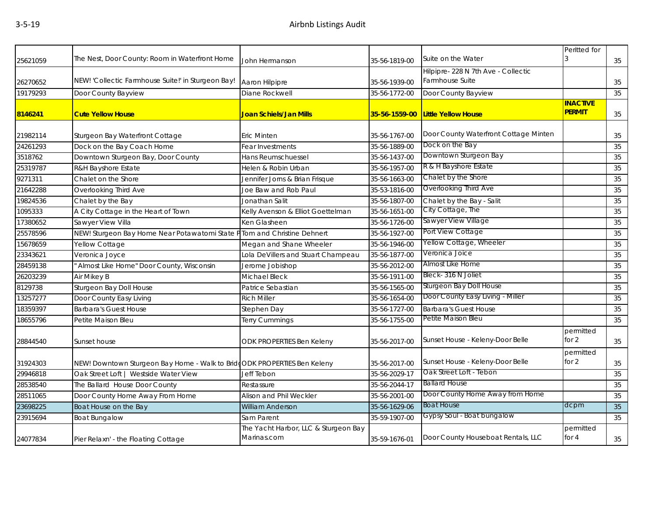| 25621059 | The Nest, Door County: Room in Waterfront Home                           | John Hermanson                                      | 35-56-1819-00 | Suite on the Water                    | Peritted for         | 35 |
|----------|--------------------------------------------------------------------------|-----------------------------------------------------|---------------|---------------------------------------|----------------------|----|
|          |                                                                          |                                                     |               | Hilpipre-228 N 7th Ave - Collectic    |                      |    |
| 26270652 | NEW! 'Collectic Farmhouse Suite!' in Sturgeon Bay!                       | Aaron Hilpipre                                      | 35-56-1939-00 | Farmhouse Suite                       |                      | 35 |
| 19179293 | Door County Bayview                                                      | Diane Rockwell                                      | 35-56-1772-00 | Door County Bayview                   |                      | 35 |
|          |                                                                          |                                                     |               |                                       | <b>INACTIVE</b>      |    |
| 8146241  | <b>Cute Yellow House</b>                                                 | Joan Schiels/Jan Mills                              | 35-56-1559-00 | <b>Little Yellow House</b>            | <b>PERMIT</b>        | 35 |
|          |                                                                          |                                                     |               |                                       |                      |    |
| 21982114 | Sturgeon Bay Waterfront Cottage                                          | Eric Minten                                         | 35-56-1767-00 | Door County Waterfront Cottage Minten |                      | 35 |
| 24261293 | Dock on the Bay Coach Home                                               | Fear Investments                                    | 35-56-1889-00 | Dock on the Bay                       |                      | 35 |
| 3518762  | Downtown Sturgeon Bay, Door County                                       | Hans Reumschuessel                                  | 35-56-1437-00 | Downtown Sturgeon Bay                 |                      | 35 |
| 25319787 | R&H Bayshore Estate                                                      | Helen & Robin Urban                                 | 35-56-1957-00 | R & H Bayshore Estate                 |                      | 35 |
| 9271311  | Chalet on the Shore                                                      | Jennifer Jorns & Brian Frisque                      | 35-56-1663-00 | Chalet by the Shore                   |                      | 35 |
| 21642288 | Overlooking Third Ave                                                    | Joe Baw and Rob Paul                                | 35-53-1816-00 | Overlooking Third Ave                 |                      | 35 |
| 19824536 | Chalet by the Bay                                                        | Jonathan Salit                                      | 35-56-1807-00 | Chalet by the Bay - Salit             |                      | 35 |
| 1095333  | A City Cottage in the Heart of Town                                      | Kelly Avenson & Elliot Goettelman                   | 35-56-1651-00 | City Cottage, The                     |                      | 35 |
| 17380652 | Sawyer View Villa                                                        | Ken Glasheen                                        | 35-56-1726-00 | Sawyer View Village                   |                      | 35 |
| 25578596 | NEW! Sturgeon Bay Home Near Potawatomi State PTom and Christine Dehnert  |                                                     | 35-56-1927-00 | Port View Cottage                     |                      | 35 |
| 15678659 | Yellow Cottage                                                           | Megan and Shane Wheeler                             | 35-56-1946-00 | Yellow Cottage, Wheeler               |                      | 35 |
| 23343621 | Veronica Joyce                                                           | Lola DeVillers and Stuart Champeau                  | 35-56-1877-00 | Veronica Joice                        |                      | 35 |
| 28459138 | Almost Like Home" Door County, Wisconsin                                 | Jerome Jobishop                                     | 35-56-2012-00 | Almost Like Home                      |                      | 35 |
| 26203239 | Air Mikey B                                                              | Michael Bleck                                       | 35-56-1911-00 | Bleck-316 N Joliet                    |                      | 35 |
| 8129738  | Sturgeon Bay Doll House                                                  | Patrice Sebastian                                   | 35-56-1565-00 | Sturgeon Bay Doll House               |                      | 35 |
| 13257277 | Door County Easy Living                                                  | <b>Rich Miller</b>                                  | 35-56-1654-00 | Door County Easy Living - Miller      |                      | 35 |
| 18359397 | <b>Barbara's Guest House</b>                                             | Stephen Day                                         | 35-56-1727-00 | <b>Barbara's Guest House</b>          |                      | 35 |
| 18655796 | Petite Maison Bleu                                                       | Terry Cummings                                      | 35-56-1755-00 | Petite Maison Bleu                    |                      | 35 |
| 28844540 | Sunset house                                                             | ODK PROPERTIES Ben Keleny                           | 35-56-2017-00 | Sunset House - Keleny-Door Belle      | permitted<br>for $2$ | 35 |
| 31924303 | NEW! Downtown Sturgeon Bay Home - Walk to BridgODK PROPERTIES Ben Keleny |                                                     | 35-56-2017-00 | Sunset House - Keleny-Door Belle      | permitted<br>for $2$ | 35 |
| 29946818 | Oak Street Loft   Westside Water View                                    | Jeff Tebon                                          | 35-56-2029-17 | Oak Street Loft - Tebon               |                      | 35 |
| 28538540 | The Ballard House Door County                                            | Restassure                                          | 35-56-2044-17 | <b>Ballard House</b>                  |                      | 35 |
| 28511065 | Door County Home Away From Home                                          | Alison and Phil Weckler                             | 35-56-2001-00 | Door County Home Away from Home       |                      | 35 |
| 23698225 | Boat House on the Bay                                                    | William Anderson                                    | 35-56-1629-06 | <b>Boat House</b>                     | dcpm                 | 35 |
| 23915694 | <b>Boat Bungalow</b>                                                     | Sam Parent                                          | 35-59-1907-00 | Gypsy Soul - Boat bungalow            |                      | 35 |
| 24077834 | Pier Relaxn' - the Floating Cottage                                      | The Yacht Harbor, LLC & Sturgeon Bay<br>Marinas.com | 35-59-1676-01 | Door County Houseboat Rentals, LLC    | permitted<br>for $4$ | 35 |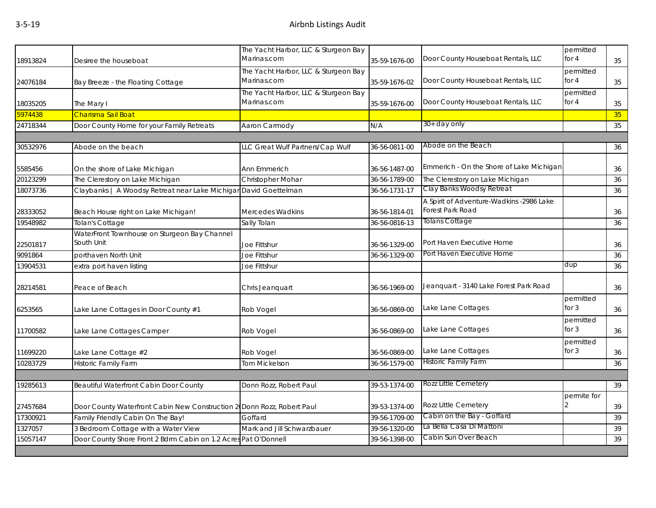|                                                            | The Yacht Harbor, LLC & Sturgeon Bay                                                                                                                                                                                                                                                                                                 |                                                                                                                                                                                                                                                                                                                                                                 | Door County Houseboat Rentals, LLC                                                                                                                           | permitted<br>for 4                                                                                                                                                             | 35                                       |
|------------------------------------------------------------|--------------------------------------------------------------------------------------------------------------------------------------------------------------------------------------------------------------------------------------------------------------------------------------------------------------------------------------|-----------------------------------------------------------------------------------------------------------------------------------------------------------------------------------------------------------------------------------------------------------------------------------------------------------------------------------------------------------------|--------------------------------------------------------------------------------------------------------------------------------------------------------------|--------------------------------------------------------------------------------------------------------------------------------------------------------------------------------|------------------------------------------|
|                                                            | The Yacht Harbor, LLC & Sturgeon Bay                                                                                                                                                                                                                                                                                                 |                                                                                                                                                                                                                                                                                                                                                                 |                                                                                                                                                              | permitted<br>for $4$                                                                                                                                                           | 35                                       |
|                                                            | The Yacht Harbor, LLC & Sturgeon Bay                                                                                                                                                                                                                                                                                                 |                                                                                                                                                                                                                                                                                                                                                                 |                                                                                                                                                              | permitted<br>for 4                                                                                                                                                             | 35                                       |
|                                                            |                                                                                                                                                                                                                                                                                                                                      |                                                                                                                                                                                                                                                                                                                                                                 |                                                                                                                                                              |                                                                                                                                                                                | 35                                       |
|                                                            |                                                                                                                                                                                                                                                                                                                                      |                                                                                                                                                                                                                                                                                                                                                                 |                                                                                                                                                              |                                                                                                                                                                                | 35                                       |
|                                                            |                                                                                                                                                                                                                                                                                                                                      |                                                                                                                                                                                                                                                                                                                                                                 |                                                                                                                                                              |                                                                                                                                                                                |                                          |
|                                                            |                                                                                                                                                                                                                                                                                                                                      |                                                                                                                                                                                                                                                                                                                                                                 |                                                                                                                                                              |                                                                                                                                                                                | 36                                       |
|                                                            |                                                                                                                                                                                                                                                                                                                                      |                                                                                                                                                                                                                                                                                                                                                                 |                                                                                                                                                              |                                                                                                                                                                                |                                          |
| On the shore of Lake Michigan                              | Ann Emmerich                                                                                                                                                                                                                                                                                                                         | 36-56-1487-00                                                                                                                                                                                                                                                                                                                                                   |                                                                                                                                                              |                                                                                                                                                                                | 36                                       |
|                                                            | Christopher Mohar                                                                                                                                                                                                                                                                                                                    |                                                                                                                                                                                                                                                                                                                                                                 |                                                                                                                                                              |                                                                                                                                                                                | 36                                       |
|                                                            |                                                                                                                                                                                                                                                                                                                                      | 36-56-1731-17                                                                                                                                                                                                                                                                                                                                                   |                                                                                                                                                              |                                                                                                                                                                                | 36                                       |
| Beach House right on Lake Michigan!                        | Mercedes Wadkins                                                                                                                                                                                                                                                                                                                     | 36-56-1814-01                                                                                                                                                                                                                                                                                                                                                   | A Spirit of Adventure-Wadkins -2986 Lake<br>Forest Park Road                                                                                                 |                                                                                                                                                                                | 36                                       |
| <b>Tolan's Cottage</b>                                     | Sally Tolan                                                                                                                                                                                                                                                                                                                          | 36-56-0816-13                                                                                                                                                                                                                                                                                                                                                   | <b>Tolans Cottage</b>                                                                                                                                        |                                                                                                                                                                                | 36                                       |
| WaterFront Townhouse on Sturgeon Bay Channel<br>South Unit |                                                                                                                                                                                                                                                                                                                                      |                                                                                                                                                                                                                                                                                                                                                                 | Port Haven Executive Home                                                                                                                                    |                                                                                                                                                                                | 36                                       |
|                                                            |                                                                                                                                                                                                                                                                                                                                      | 36-56-1329-00                                                                                                                                                                                                                                                                                                                                                   | Port Haven Executive Home                                                                                                                                    |                                                                                                                                                                                | 36                                       |
|                                                            |                                                                                                                                                                                                                                                                                                                                      |                                                                                                                                                                                                                                                                                                                                                                 |                                                                                                                                                              | dup                                                                                                                                                                            | 36                                       |
|                                                            |                                                                                                                                                                                                                                                                                                                                      |                                                                                                                                                                                                                                                                                                                                                                 |                                                                                                                                                              |                                                                                                                                                                                |                                          |
| Peace of Beach                                             | Chris Jeanquart                                                                                                                                                                                                                                                                                                                      | 36-56-1969-00                                                                                                                                                                                                                                                                                                                                                   | Jeanquart - 3140 Lake Forest Park Road                                                                                                                       |                                                                                                                                                                                | 36                                       |
| Lake Lane Cottages in Door County #1                       | Rob Vogel                                                                                                                                                                                                                                                                                                                            | 36-56-0869-00                                                                                                                                                                                                                                                                                                                                                   | Lake Lane Cottages                                                                                                                                           | permitted<br>for $3$                                                                                                                                                           | 36                                       |
| Lake Lane Cottages Camper                                  | Rob Vogel                                                                                                                                                                                                                                                                                                                            | 36-56-0869-00                                                                                                                                                                                                                                                                                                                                                   | Lake Lane Cottages                                                                                                                                           | permitted<br>for $3$                                                                                                                                                           | 36                                       |
| Lake Lane Cottage #2                                       | Rob Vogel                                                                                                                                                                                                                                                                                                                            | 36-56-0869-00                                                                                                                                                                                                                                                                                                                                                   | Lake Lane Cottages                                                                                                                                           | permitted<br>for 3                                                                                                                                                             | 36                                       |
| Historic Family Farm                                       | <b>Tom Mickelson</b>                                                                                                                                                                                                                                                                                                                 | 36-56-1579-00                                                                                                                                                                                                                                                                                                                                                   | Historic Family Farm                                                                                                                                         |                                                                                                                                                                                | 36                                       |
|                                                            |                                                                                                                                                                                                                                                                                                                                      |                                                                                                                                                                                                                                                                                                                                                                 |                                                                                                                                                              |                                                                                                                                                                                |                                          |
| Beautiful Waterfront Cabin Door County                     | Donn Rozz, Robert Paul                                                                                                                                                                                                                                                                                                               | 39-53-1374-00                                                                                                                                                                                                                                                                                                                                                   | Rozz Little Cemetery                                                                                                                                         |                                                                                                                                                                                | 39                                       |
|                                                            |                                                                                                                                                                                                                                                                                                                                      |                                                                                                                                                                                                                                                                                                                                                                 | Rozz Little Cemetery                                                                                                                                         | permite for                                                                                                                                                                    | 39                                       |
|                                                            | Goffard                                                                                                                                                                                                                                                                                                                              |                                                                                                                                                                                                                                                                                                                                                                 | Cabin on the Bay - Goffard                                                                                                                                   |                                                                                                                                                                                | 39                                       |
|                                                            | Mark and Jill Schwarzbauer                                                                                                                                                                                                                                                                                                           |                                                                                                                                                                                                                                                                                                                                                                 | La Bella Casa Di Mattoni                                                                                                                                     |                                                                                                                                                                                | 39                                       |
|                                                            |                                                                                                                                                                                                                                                                                                                                      | 39-56-1398-00                                                                                                                                                                                                                                                                                                                                                   | Cabin Sun Over Beach                                                                                                                                         |                                                                                                                                                                                | 39                                       |
|                                                            | Desiree the houseboat<br>Bay Breeze - the Floating Cottage<br>The Mary I<br>Charisma Sail Boat<br>Door County Home for your Family Retreats<br>Abode on the beach<br>The Clerestory on Lake Michigan<br>porthaven North Unit<br>extra port haven listing<br>Family Friendly Cabin On The Bay!<br>3 Bedroom Cottage with a Water View | Marinas.com<br>Marinas.com<br>Marinas.com<br>Aaron Carmody<br>LLC Great Wulf Partners/Cap Wulf<br>Claybanks   A Woodsy Retreat near Lake Michigan David Goettelman<br>Joe Fittshur<br>Joe Fittshur<br>Joe Fittshur<br>Door County Waterfront Cabin New Construction 2 Donn Rozz, Robert Paul<br>Door County Shore Front 2 Bdrm Cabin on 1.2 Acres Pat O'Donnell | 35-59-1676-00<br>35-59-1676-02<br>35-59-1676-00<br>N/A<br>36-56-0811-00<br>36-56-1789-00<br>36-56-1329-00<br>39-53-1374-00<br>39-56-1709-00<br>39-56-1320-00 | Door County Houseboat Rentals, LLC<br>Door County Houseboat Rentals, LLC<br>30+ day only<br>Abode on the Beach<br>The Clerestory on Lake Michigan<br>Clay Banks Woodsy Retreat | Emmerich - On the Shore of Lake Michigan |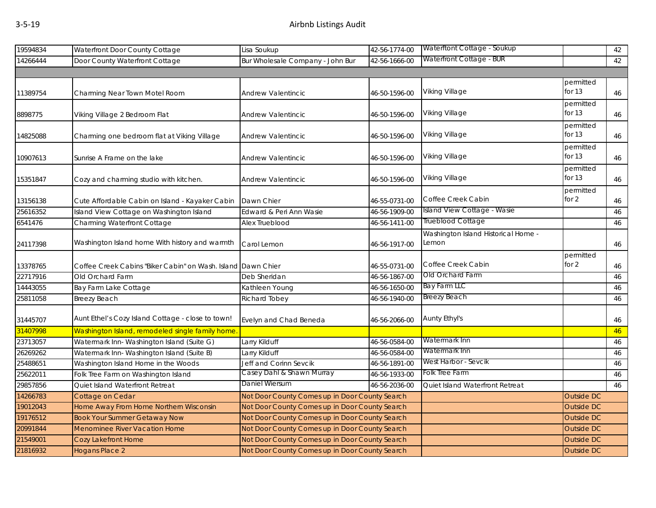| 19594834 | Waterfront Door County Cottage                               | Lisa Soukup                                    | 42-56-1774-00 | Waterftont Cottage - Soukup                  |                       | 42 |
|----------|--------------------------------------------------------------|------------------------------------------------|---------------|----------------------------------------------|-----------------------|----|
| 14266444 | Door County Waterfront Cottage                               | Bur Wholesale Company - John Bur               | 42-56-1666-00 | Waterfront Cottage - BUR                     |                       | 42 |
|          |                                                              |                                                |               |                                              |                       |    |
| 11389754 | Charming Near Town Motel Room                                | Andrew Valentincic                             | 46-50-1596-00 | Viking Village                               | permitted<br>for $13$ | 46 |
| 8898775  | Viking Village 2 Bedroom Flat                                | Andrew Valentincic                             | 46-50-1596-00 | Viking Village                               | permitted<br>for $13$ | 46 |
| 14825088 | Charming one bedroom flat at Viking Village                  | Andrew Valentincic                             | 46-50-1596-00 | Viking Village                               | permitted<br>for $13$ | 46 |
| 10907613 | Sunrise A Frame on the lake                                  | Andrew Valentincic                             | 46-50-1596-00 | Viking Village                               | permitted<br>for $13$ | 46 |
| 15351847 | Cozy and charming studio with kitchen.                       | Andrew Valentincic                             | 46-50-1596-00 | Viking Village                               | permitted<br>for $13$ | 46 |
| 13156138 | Cute Affordable Cabin on Island - Kayaker Cabin              | Dawn Chier                                     | 46-55-0731-00 | Coffee Creek Cabin                           | permitted<br>for $2$  | 46 |
| 25616352 | Island View Cottage on Washington Island                     | Edward & Peri Ann Wasie                        | 46-56-1909-00 | Island View Cottage - Wasie                  |                       | 46 |
| 6541476  | Charming Waterfront Cottage                                  | Alex Trueblood                                 | 46-56-1411-00 | Trueblood Cottage                            |                       | 46 |
| 24117398 | Washington Island home With history and warmth               | Carol Lemon                                    | 46-56-1917-00 | Washington Island Historical Home -<br>Lemon |                       | 46 |
| 13378765 | Coffee Creek Cabins "Biker Cabin" on Wash. Island Dawn Chier |                                                | 46-55-0731-00 | Coffee Creek Cabin                           | permitted<br>for $2$  | 46 |
| 22717916 | Old Orchard Farm                                             | Deb Sheridan                                   | 46-56-1867-00 | Old Orchard Farm                             |                       | 46 |
| 14443055 | Bay Farm Lake Cottage                                        | Kathleen Young                                 | 46-56-1650-00 | <b>Bay Farm LLC</b>                          |                       | 46 |
| 25811058 | Breezy Beach                                                 | <b>Richard Tobey</b>                           | 46-56-1940-00 | Breezy Beach                                 |                       | 46 |
| 31445707 | Aunt Ethel's Cozy Island Cottage - close to town!            | Evelyn and Chad Beneda                         | 46-56-2066-00 | Aunty Ethyl's                                |                       | 46 |
| 31407998 | Washington Island, remodeled single family home.             |                                                |               |                                              |                       | 46 |
| 23713057 | Watermark Inn- Washington Island (Suite G)                   | Larry Kilduff                                  | 46-56-0584-00 | Watermark Inn                                |                       | 46 |
| 26269262 | Watermark Inn- Washington Island (Suite B)                   | Larry Kilduff                                  | 46-56-0584-00 | Watermark Inn                                |                       | 46 |
| 25488651 | Washington Island Home in the Woods                          | Jeff and Corinn Sevcik                         | 46-56-1891-00 | West Harbor - Sevcik                         |                       | 46 |
| 25622011 | Folk Tree Farm on Washington Island                          | Casey Dahl & Shawn Murray                      | 46-56-1933-00 | Folk Tree Farm                               |                       | 46 |
| 29857856 | Quiet Island Waterfront Retreat                              | Daniel Wiersum                                 | 46-56-2036-00 | Quiet Island Waterfront Retreat              |                       | 46 |
| 14266783 | Cottage on Cedar                                             | Not Door County Comes up in Door County Search |               |                                              | <b>Outside DC</b>     |    |
| 19012043 | Home Away From Home Northern Wisconsin                       | Not Door County Comes up in Door County Search |               |                                              | <b>Outside DC</b>     |    |
| 19176512 | <b>Book Your Summer Getaway Now</b>                          | Not Door County Comes up in Door County Search |               |                                              | <b>Outside DC</b>     |    |
| 20991844 | <b>Menominee River Vacation Home</b>                         | Not Door County Comes up in Door County Search |               |                                              | <b>Outside DC</b>     |    |
| 21549001 | Cozy Lakefront Home                                          | Not Door County Comes up in Door County Search |               |                                              | <b>Outside DC</b>     |    |
| 21816932 | Hogans Place 2                                               | Not Door County Comes up in Door County Search |               |                                              | <b>Outside DC</b>     |    |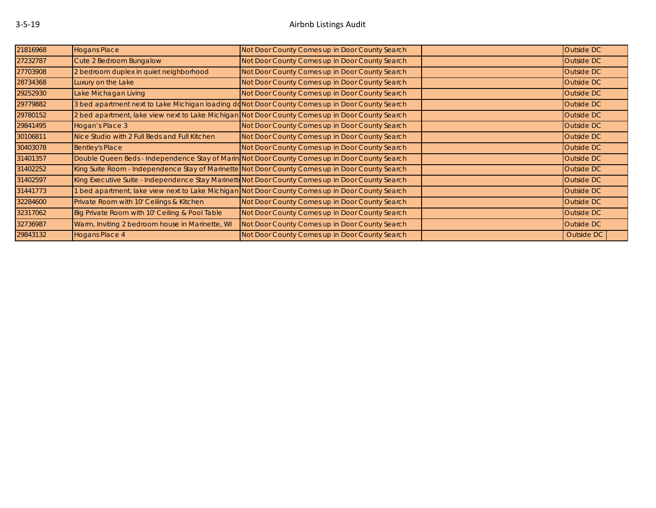| 21816968 | <b>Hogans Place</b>                                                                             | Not Door County Comes up in Door County Search                                                   | Outside DC |
|----------|-------------------------------------------------------------------------------------------------|--------------------------------------------------------------------------------------------------|------------|
| 27232787 | Cute 2 Bedroom Bungalow                                                                         | Not Door County Comes up in Door County Search                                                   | Outside DC |
| 27703908 | 2 bedroom duplex in quiet neighborhood                                                          | Not Door County Comes up in Door County Search                                                   | Outside DC |
| 28734368 | Luxury on the Lake                                                                              | Not Door County Comes up in Door County Search                                                   | Outside DC |
| 29252930 | Lake Michagan Living                                                                            | Not Door County Comes up in Door County Search                                                   | Outside DC |
| 29779882 | 3 bed apartment next to Lake Michigan loading doNot Door County Comes up in Door County Search  |                                                                                                  | Outside DC |
| 29780152 | 2 bed apartment, lake view next to Lake Michigan Not Door County Comes up in Door County Search |                                                                                                  | Outside DC |
| 29841495 | Hogan's Place 3                                                                                 | Not Door County Comes up in Door County Search                                                   | Outside DC |
| 30106811 | Nice Studio with 2 Full Beds and Full Kitchen                                                   | Not Door County Comes up in Door County Search                                                   | Outside DC |
| 30403078 | <b>Bentley's Place</b>                                                                          | Not Door County Comes up in Door County Search                                                   | Outside DC |
| 31401357 | Double Queen Beds - Independence Stay of Marin Not Door County Comes up in Door County Search   |                                                                                                  | Outside DC |
| 31402252 | King Suite Room - Independence Stay of Marinette Not Door County Comes up in Door County Search |                                                                                                  | Outside DC |
| 31402597 |                                                                                                 | King Executive Suite - Independence Stay Marinett Not Door County Comes up in Door County Search | Outside DC |
| 31441773 |                                                                                                 | 1 bed apartment, lake view next to Lake Michigan Not Door County Comes up in Door County Search  | Outside DC |
| 32284600 | Private Room with 10' Ceilings & Kitchen                                                        | Not Door County Comes up in Door County Search                                                   | Outside DC |
| 32317062 | Big Private Room with 10' Ceiling & Pool Table                                                  | Not Door County Comes up in Door County Search                                                   | Outside DC |
| 32736987 | Warm, Inviting 2 bedroom house in Marinette, WI                                                 | Not Door County Comes up in Door County Search                                                   | Outside DC |
| 29843132 | <b>Hogans Place 4</b>                                                                           | Not Door County Comes up in Door County Search                                                   | Outside DC |